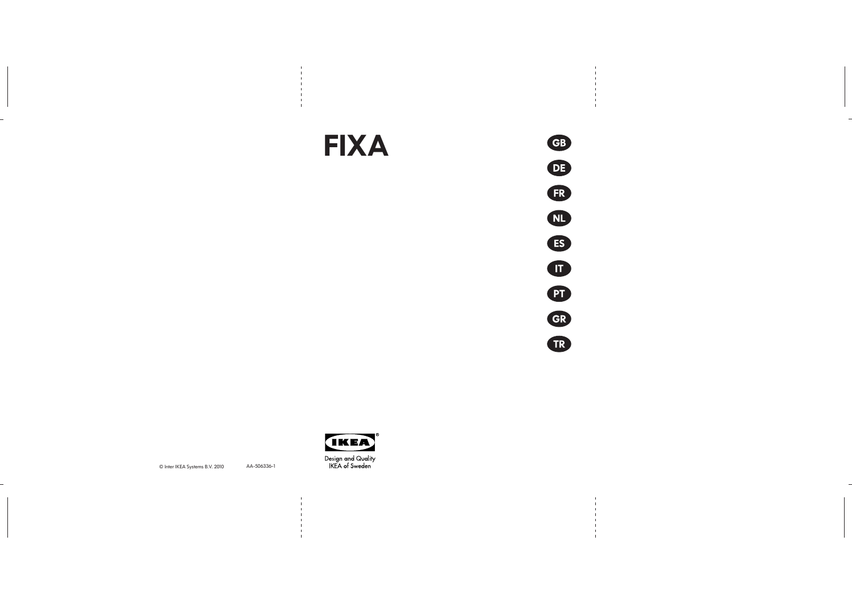© Inter IKEA Systems B.V. 2010







AA-506336-1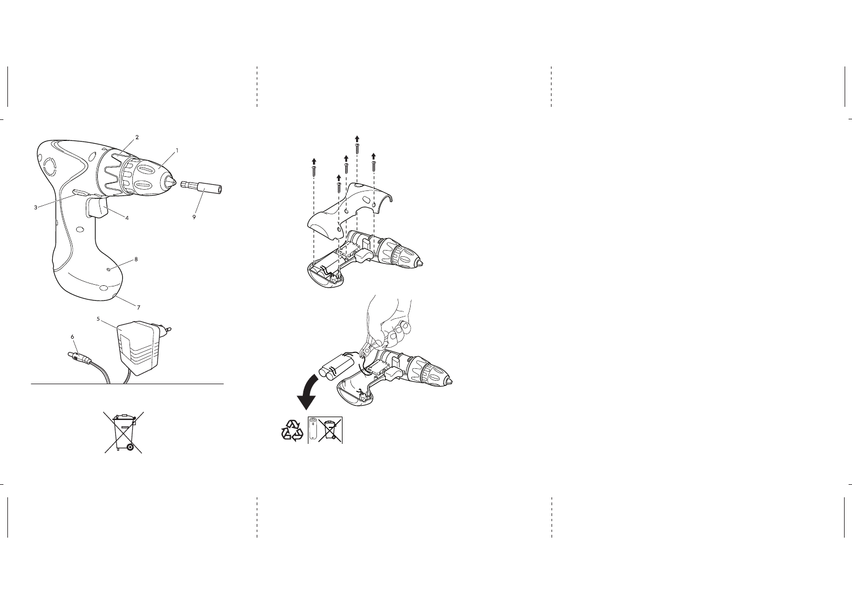

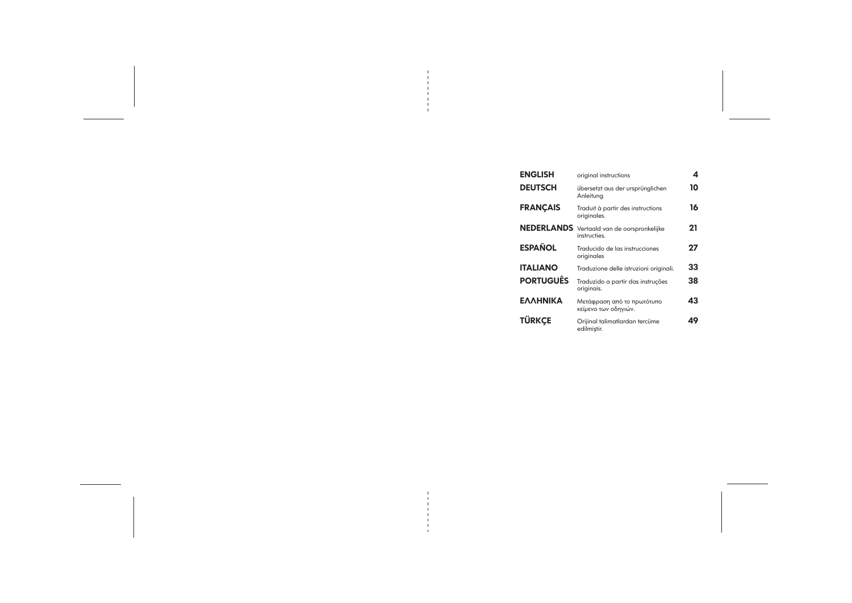| <b>ENGLISH</b>    | original instructions                              |
|-------------------|----------------------------------------------------|
| <b>DEUTSCH</b>    | übersetzt aus der ursprünglichen<br>Anleitung      |
| <b>FRANÇAIS</b>   | Traduit à partir des instructions<br>originales.   |
| <b>NEDERLANDS</b> | Vertaald van de oorspronkelijke<br>instructies     |
| ESPAÑOL           | Traducido de las instrucciones<br>originales       |
| ITALIANO          | Traduzione delle istruzioni originali.             |
| <b>PORTUGUÊS</b>  | Traduzido a partir das instruções<br>originais.    |
| ΕΛΛΗΝΙΚΑ          | Μετάφραση από το πρωτότυπο<br>κείμενο των οδηγιών. |
| <b>TÜRKCE</b>     | Orijinal talimatlardan tercüme<br>edilmiştir.      |
|                   |                                                    |

|                | 4  |  |
|----------------|----|--|
| nglichen       | 10 |  |
| <b>uctions</b> | 16 |  |
| nkelijke       | 21 |  |
| iones          | 27 |  |
| ni originali.  | 33 |  |
| struções       | 38 |  |
| ιότυπο         | 43 |  |
| cüme           | 49 |  |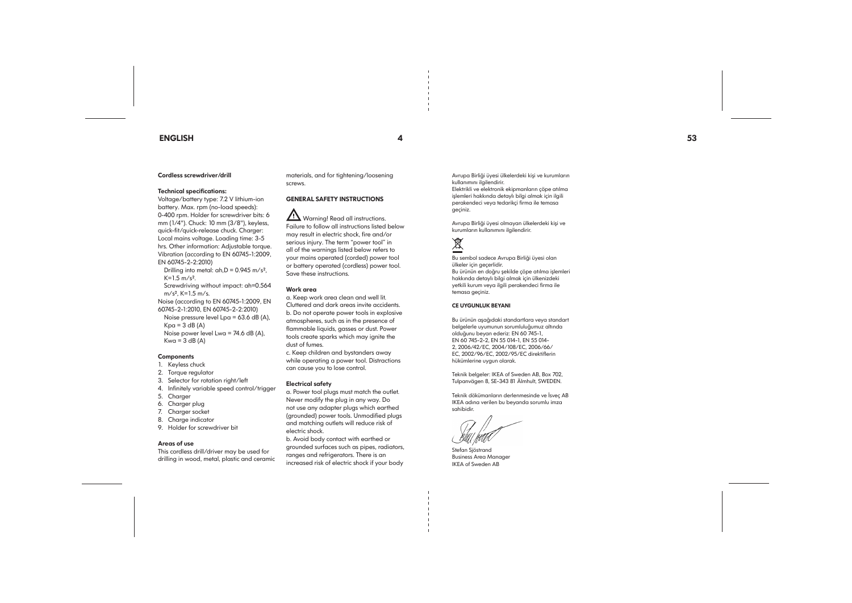## ENGLISH



#### Cordless screwdriver/drill

#### Technical specifications:

Screwdriving without impact: ah=0.564  $m/s^2$ , K=1.5 m/s.

Voltage/battery type: 7.2 V lithium-ion battery. Max. rpm (no-load speeds): 0-400 rpm. Holder for screwdriver bits: 6 mm (1/4"). Chuck: 10 mm (3/8"), keyless, quick-fit/quick-release chuck. Charger: Local mains voltage. Loading time: 3-5 hrs. Other information: Adjustable torque. Vibration (according to EN 60745-1:2009, EN 60745-2-2:2010)

Drilling into metal:  $ah.D = 0.945 m/s<sup>2</sup>$ ,  $K=1.5$  m/s<sup>2</sup>.

Noise (according to EN 60745-1:2009, EN 60745-2-1:2010, EN 60745-2-2:2010) Noise pressure level Lpa = 63.6 dB (A),  $Kpa = 3 dB (A)$ Noise power level Lwa = 74.6 dB (A),  $Kwa = 3 dB (A)$ 

#### **Components**

 $\angle$ ! Warning! Read all instructions. Failure to follow all instructions listed below may result in electric shock, fire and/or serious injury. The term "power tool" in all of the warnings listed below refers to your mains operated (corded) power tool or battery operated (cordless) power tool. Save these instructions.

- 1. Keyless chuck
- 2. Torque regulator
- 3. Selector for rotation right/left
- 4. Infinitely variable speed control/trigger
- 5. Charger
- 6. Charger plug
- 7. Charger socket
- 8. Charge indicator
- 9. Holder for screwdriver bit

#### Areas of use

This cordless drill/driver may be used for drilling in wood, metal, plastic and ceramic

materials, and for tightening/loosening screws.

## GENERAL SAFETY INSTRUCTIONS

#### Work area

a. Keep work area clean and well lit. Cluttered and dark areas invite accidents. b. Do not operate power tools in explosive atmospheres, such as in the presence of flammable liquids, gasses or dust. Power tools create sparks which may ignite the dust of fumes.

c. Keep children and bystanders away while operating a power tool. Distractions can cause you to lose control.

#### Electrical safety

a. Power tool plugs must match the outlet. Never modify the plug in any way. Do not use any adapter plugs which earthed (grounded) power tools. Unmodified plugs and matching outlets will reduce risk of electric shock.

b. Avoid body contact with earthed or grounded surfaces such as pipes, radiators, ranges and refrigerators. There is an increased risk of electric shock if your body

Avrupa Birliği üyesi ülkelerdeki kişi ve kurumların kullanımını ilgilendirir. Elektrikli ve elektronik ekipmanların çöpe atılma işlemleri hakkında detaylı bilgi almak için ilgili

perakendeci veya tedarikçi firma ile temasa geçiniz.

Avrupa Birliği üyesi olmayan ülkelerdeki kişi ve kurumların kullanımını ilgilendirir.

# 这

Bu sembol sadece Avrupa Birliği üyesi olan ülkeler için geçerlidir. Bu ürünün en doğru şekilde çöpe atılma işlemleri hakkında detaylı bilgi almak için ülkenizdeki yetkili kurum veya ilgili perakendeci firma ile temasa geçiniz.

#### CE UYGUNLUK BEYANI

Bu ürünün aşağıdaki standartlara veya standart belgelerle uyumunun sorumluluğumuz altında olduğunu beyan ederiz: EN 60 745-1, EN 60 745-2-2, EN 55 014-1, EN 55 014- 2, 2006/42/EC, 2004/108/EC, 2006/66/ EC, 2002/96/EC, 2002/95/EC direktiflerin hükümlerine uygun olarak.

Teknik belgeler: IKEA of Sweden AB, Box 702, Tulpanvägen 8, SE-343 81 Älmhult, SWEDEN.

Teknik dökümanların derlenmesinde ve İsveç AB IKEA adına verilen bu beyanda sorumlu imza sahibidir.

Stefan Sjöstrand Business Area Manager IKEA of Sweden AB

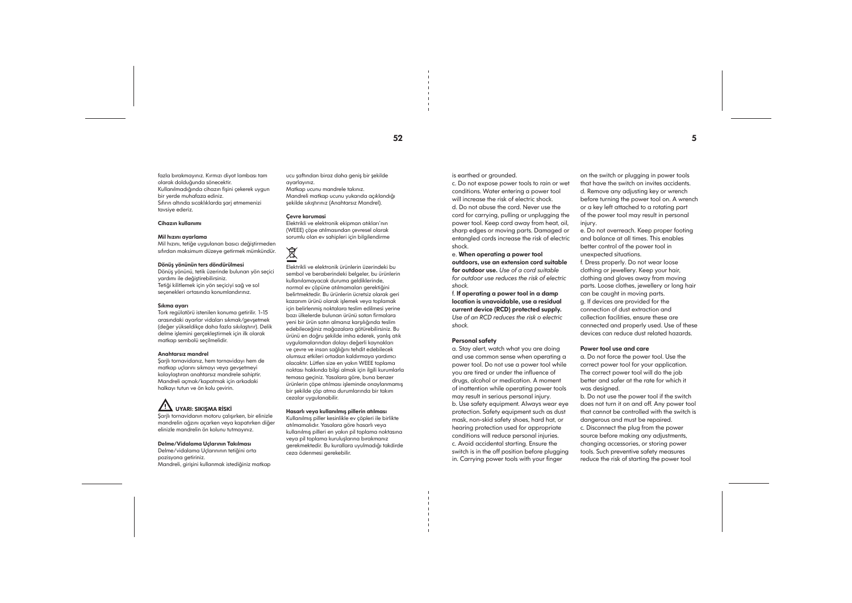fazla bırakmayınız. Kırmızı diyot lambası tam olarak dolduğunda sönecektir. Kullanılmadığında cihazın fişini çekerek uygun bir yerde muhafaza ediniz. Sıfırın altında sıcaklıklarda şarj etmemenizi tavsiye ederiz.

#### Cihazın kullanımı

#### Mil hızını ayarlama

Mil hızını, tetiğe uygulanan basıcı değiştirmeden sıfırdan maksimum düzeye getirmek mümkündür.

#### Dönüş yönünün ters döndürülmesi

Dönüş yönünü, tetik üzerinde bulunan yön seçici yardımı ile değiştirebilirsiniz. Tetiği kilitlemek için yön seçiciyi sağ ve sol seçenekleri ortasında konumlandırınız.

#### Sıkma ayarı

Tork regülatörü istenilen konuma getirilir. 1-15 arasındaki ayarlar vidaları sıkmak/gevşetmek (değer yükseldikçe daha fazla sıkılaştırır). Delik delme işlemini gerçekleştirmek için ilk olarak matkap sembolü seçilmelidir.

#### Anahtarsız mandrel

Şarjlı tornavidanız, hem tornavidayı hem de matkap uçlarını sıkmayı veya gevşetmeyi kolaylaştıran anahtarsız mandrele sahiptir. Mandreli açmak/kapatmak için arkadaki halkayı tutun ve ön kolu çevirin.

## $\angle$ ! UYARI: SIKIŞMA RİSKİ

Şarjlı tornavidanın motoru çalışırken, bir elinizle mandrelin ağzını açarken veya kapatırken diğer elinizle mandrelin ön kolunu tutmayınız.

#### Delme/Vidalama Uçlarının Takılması

Delme/vidalama Uçlarınının tetiğini orta pozisyona getiriniz. Mandreli, girişini kullanmak istediğiniz matkap ucu şaftından biraz daha geniş bir şekilde ayarlayınız.

Matkap ucunu mandrele takınız. Mandreli matkap ucunu yukarıda açıklandığı şekilde sıkıştırınız (Anahtarsız Mandrel).

#### Çevre korumasi

Elektrikli ve elektronik ekipman atıkları'nın (WEEE) çöpe atılmasından çevresel olarak sorumlu olan ev sahipleri için bilgilendirme



Elektrikli ve elektronik ürünlerin üzerindeki bu sembol ve beraberindeki belgeler, bu ürünlerin kullanılamayacak duruma geldiklerinde, normal ev çöpüne atılmamaları gerektiğini belirtmektedir. Bu ürünlerin ücretsiz olarak geri kazanım ürünü olarak işlemek veya toplamak için belirlenmiş noktalara teslim edilmesi yerine bazı ülkelerde bulunan ürünü satan firmalara yeni bir ürün satın almanız karşılığında teslim edebileceğiniz mağazalara götürebilirsiniz. Bu ürünü en doğru şekilde imha ederek, yanlış atık uygulamalarından dolayı değerli kaynakları ve çevre ve insan sağlığını tehdit edebilecek olumsuz etkileri ortadan kaldırmaya yardımcı olacaktır. Lütfen size en yakın WEEE toplama noktası hakkında bilgi almak için ilgili kurumlarla temasa geçiniz. Yasalara göre, buna benzer ürünlerin çöpe atılması işleminde onaylanmamış bir şekilde çöp atma durumlarında bir takım cezalar uygulanabilir.

on the switch or plugging in power tools that have the switch on invites accidents. d. Remove any adjusting key or wrench before turning the power tool on. A wrench or a key left attached to a rotating part of the power tool may result in personal injury.

#### Hasarlı veya kullanılmış pillerin atılması

Kullanılmış piller kesinlikle ev çöpleri ile birlikte atılmamalıdır. Yasalara göre hasarlı veya kullanılmış pilleri en yakın pil toplama noktasına veya pil toplama kuruluşlarına bırakmanız gerekmektedir. Bu kurallara uyulmadığı takdirde ceza ödenmesi gerekebilir.

is earthed or grounded.

c. Do not expose power tools to rain or wet conditions. Water entering a power tool will increase the risk of electric shock. d. Do not abuse the cord. Never use the cord for carrying, pulling or unplugging the power tool. Keep cord away from heat, oil, sharp edges or moving parts. Damaged or entangled cords increase the risk of electric shock.

#### e. When operating a power tool

outdoors, use an extension cord suitable for outdoor use. *Use of a cord suitable for outdoor use reduces the risk of electric shock.*

f. If operating a power tool in a damp location is unavoidable, use a residual current device (RCD) protected supply. *Use of an RCD reduces the risk o electric shock.*

#### Personal safety

a. Stay alert, watch what you are doing and use common sense when operating a power tool. Do not use a power tool while you are tired or under the influence of drugs, alcohol or medication. A moment of inattention while operating power tools may result in serious personal injury. b. Use safety equipment. Always wear eye protection. Safety equipment such as dust mask, non-skid safety shoes, hard hat, or hearing protection used for appropriate conditions will reduce personal injuries. c. Avoid accidental starting. Ensure the switch is in the off position before plugging in. Carrying power tools with your finger

e. Do not overreach. Keep proper footing and balance at all times. This enables better control of the power tool in unexpected situations. f. Dress properly. Do not wear loose clothing or jewellery. Keep your hair, clothing and gloves away from moving parts. Loose clothes, jewellery or long hair can be caught in moving parts. g. If devices are provided for the connection of dust extraction and collection facilities, ensure these are connected and properly used. Use of these devices can reduce dust related hazards.

#### Power tool use and care

a. Do not force the power tool. Use the correct power tool for your application. The correct power tool will do the job better and safer at the rate for which it was designed.

b. Do not use the power tool if the switch does not turn it on and off. Any power tool that cannot be controlled with the switch is dangerous and must be repaired. c. Disconnect the plug from the power source before making any adjustments, changing accessories, or storing power tools. Such preventive safety measures reduce the risk of starting the power tool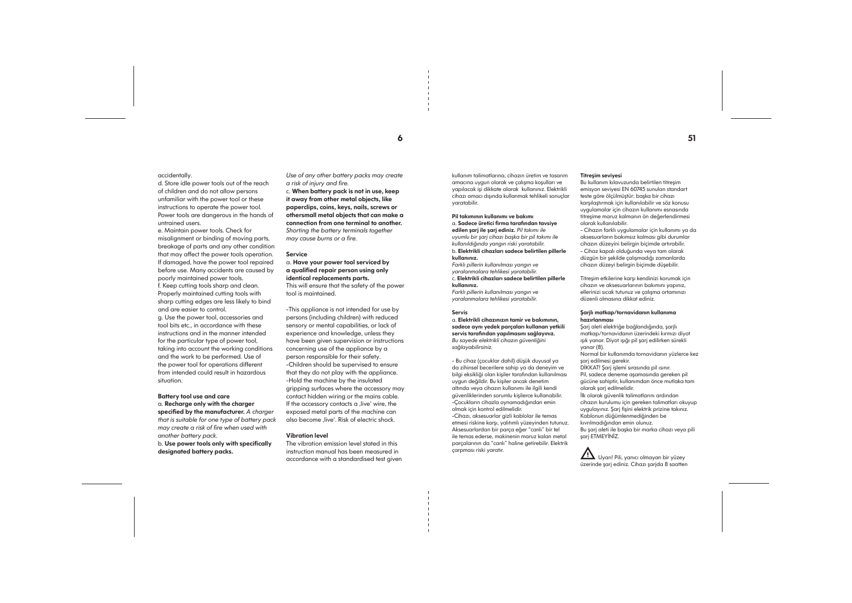### accidentally.

d. Store idle power tools out of the reach of children and do not allow persons unfamiliar with the power tool or these instructions to operate the power tool. Power tools are dangerous in the hands of untrained users.

e. Maintain power tools. Check for misalignment or binding of moving parts, breakage of parts and any other condition that may affect the power tools operation. If damaged, have the power tool repaired before use. Many accidents are caused by poorly maintained power tools. f. Keep cutting tools sharp and clean. Properly maintained cutting tools with sharp cutting edges are less likely to bind and are easier to control. g. Use the power tool, accessories and

tool bits etc., in accordance with these instructions and in the manner intended for the particular type of power tool, taking into account the working conditions and the work to be performed. Use of the power tool for operations different from intended could result in hazardous situation.

-This appliance is not intended for use by persons (including children) with reduced sensory or mental capabilities, or lack of experience and knowledge, unless they have been given supervision or instructions concerning use of the appliance by a person responsible for their safety. -Children should be supervised to ensure that they do not play with the appliance. -Hold the machine by the insulated gripping surfaces where the accessory may contact hidden wiring or the mains cable. If the accessory contacts a live' wire, the exposed metal parts of the machine can also become .live'. Risk of electric shock.

#### Battery tool use and care

a. Recharge only with the charger specified by the manufacturer. *A charger that is suitable for one type of battery pack may create a risk of fire when used with another battery pack.* b. Use power tools only with specifically designated battery packs.

*Use of any other battery packs may create a risk of injury and fire.*

c. When battery pack is not in use, keep it away from other metal objects, like paperclips, coins, keys, nails, screws or othersmall metal objects that can make a connection from one terminal to another. *Shorting the battery terminals together may cause burns or a fire.*

#### Service

### a. Have your power tool serviced by a qualified repair person using only identical replacements parts.

This will ensure that the safety of the power tool is maintained.

#### Vibration level

The vibration emission level stated in this instruction manual has been measured in accordance with a standardised test given kullanım talimatlarına, cihazın üretim ve tasarım amacına uygun olarak ve çalışma koşulları ve yapılacak işi dikkate alarak kullanınız. Elektrikli cihazı amacı dışında kullanmak tehlikeli sonuçlar yaratabilir.

#### Pil takımının kullanımı ve bakımı a. Sadece üretici firma tarafından tavsiye edilen şarj ile şarj ediniz. *Pil takımı ile*

*uyumlu bir şarj cihazı başka bir pil takımı ile kullanıldığında yangın riski yaratabilir.* b. Elektrikli cihazları sadece belirtilen pillerle kullanınız.

*Farklı pillerin kullanılması yangın ve yaralanmalara tehlikesi yaratabilir.* c. Elektrikli cihazları sadece belirtilen pillerle kullanınız. *Farklı pillerin kullanılması yangın ve yaralanmalara tehlikesi yaratabilir.*

#### Servis

a. Elektrikli cihazınızın tamir ve bakımının, sadece aynı yedek parçaları kullanan yetkili servis tarafından yapılmasını sağlayınız. *Bu sayede elektrikli cihazın güvenliğini sağlayabilirsiniz.*

- Bu cihaz (çocuklar dahil) düşük duyusal ya da zihinsel becerilere sahip ya da deneyim ve bilgi eksikliği olan kişiler tarafından kullanılması uygun değildir. Bu kişiler ancak denetim altında veya cihazın kullanımı ile ilgili kendi güvenliklerinden sorumlu kişilerce kullanabilir. -Çocukların cihazla oynamadığından emin olmak için kontrol edilmelidir. -Cihazı, aksesuarlar gizli kablolar ile temas etmesi riskine karşı, yalıtımlı yüzeyinden tutunuz. Aksesuarlardan bir parça eğer "canlı" bir tel ile temas ederse, makinenin maruz kalan metal parçalarının da "canlı" haline getirebilir. Elektrik çarpması riski yaratır.

## Titreşim seviyesi

Bu kullanım kılavuzunda belirtilen titreşim emisyon seviyesi EN 60745 sunulan standart teste göre ölçülmüştür; başka bir cihazı karşılaştırmak için kullanılabilir ve söz konusu uygulamalar için cihazın kullanımı esnasında titreşime maruz kalmanın ön değerlendirmesi olarak kullanılabilir.

- Cihazın farklı uygulamalar için kullanımı ya da aksesuarların bakımsız kalması gibi durumlar cihazın düzeyini belirgin biçimde artırabilir. - Cihaz kapalı olduğunda veya tam olarak düzgün bir şekilde çalışmadığı zamanlarda cihazın düzeyi belirgin biçimde düşebilir.

Titreşim etkilerine karşı kendinizi korumak için cihazın ve aksesuarlarının bakımını yapınız, ellerinizi sıcak tutunuz ve çalışma ortamınızı düzenli olmasına dikkat ediniz.

#### Şarjlı matkap/tornavidanın kullanıma hazırlanması

Şarj aleti elektriğe bağlandığında, şarjlı matkap/tornavidanın üzerindeki kırmızı diyot ışık yanar. Diyot ışığı pil şarj edilirken sürekli yanar (8). Normal bir kullanımda tornavidanın yüzlerce kez şarj edilmesi gerekir. DİKKAT! Şarj işlemi sırasında pil ısınır. Pil, sadece deneme aşamasında gereken pil gücüne sahiptir, kullanımdan önce mutlaka tam olarak şarj edilmelidir. İlk olarak güvenlik talimatlarını ardından cihazın kurulumu için gereken talimatları okuyup uygulayınız. Şarj fişini elektrik prizine takınız. Kablonun düğümlenmediğinden be kıvrılmadığından emin olunuz. Bu şarj aleti ile başka bir marka cihazı veya pili şarj ETMEYİNİZ.



 $\epsilon$  51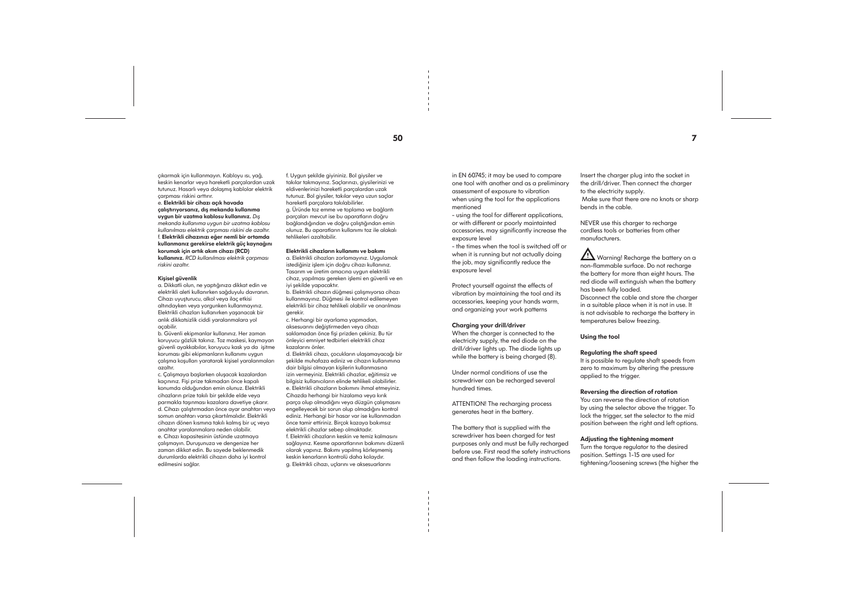çıkarmak için kullanmayın. Kabloyu ısı, yağ, keskin kenarlar veya hareketli parçalardan uzak tutunuz. Hasarlı veya dolaşmış kablolar elektrik çarpması riskini arttırır.

### e. Elektrikli bir cihazı açık havada

çalıştırıyorsanız, dış mekanda kullanıma uygun bir uzatma kablosu kullanınız. *Dış mekanda kullanıma uygun bir uzatma kablosu kullanılması elektrik çarpması riskini de azaltır.* f. Elektrikli cihazınızı eğer nemli bir ortamda kullanmanız gerekirse elektrik güç kaynağını korumak için artık akım cihazı (RCD) kullanınız. *RCD kullanılması elektrik çarpması riskini azaltır.*

#### Kişisel güvenlik

a. Dikkatli olun, ne yaptığınıza dikkat edin ve elektrikli aleti kullanırken sağduyulu davranın. Cihazı uyuşturucu, alkol veya ilaç etkisi altındayken veya yorgunken kullanmayınız. Elektrikli cihazları kullanırken yaşanacak bir anlık dikkatsizlik ciddi yaralanmalara yol açabilir.

b. Güvenli ekipmanlar kullanınız. Her zaman koruyucu gözlük takınız. Toz maskesi, kaymayan güvenli ayakkabılar, koruyucu kask ya da işitme koruması gibi ekipmanların kullanımı uygun çalışma koşulları yaratarak kişisel yaralanmaları azaltır.

c. Çalışmaya başlarken oluşacak kazalardan kaçınınız. Fişi prize takmadan önce kapalı konumda olduğundan emin olunuz. Elektrikli cihazların prize takılı bir şekilde elde veya parmakla taşınması kazalara davetiye çıkarır. d. Cihazı çalıştırmadan önce ayar anahtarı veya somun anahtarı varsa çıkartılmalıdır. Elektrikli cihazın dönen kısmına takılı kalmış bir uç veya anahtar yaralanmalara neden olabilir. e. Cihazı kapasitesinin üstünde uzatmaya çalışmayın. Duruşunuza ve dengenize her zaman dikkat edin. Bu sayede beklenmedik durumlarda elektrikli cihazın daha iyi kontrol edilmesini sağlar.

f. Uygun şekilde giyininiz. Bol giysiler ve takılar takmayınız. Saçlarınızı, giysilerinizi ve eldivenlerinizi hareketli parçalardan uzak tutunuz. Bol giysiler, takılar veya uzun saçlar hareketli parçalara takılabilirler. g. Üründe toz emme ve toplama ve bağlantı parçaları mevcut ise bu aparatların doğru bağlandığından ve doğru çalıştığından emin olunuz. Bu aparatların kullanımı toz ile alakalı tehlikeleri azaltabilir.

#### Elektrikli cihazların kullanımı ve bakımı

a. Elektrikli cihazları zorlamayınız. Uygulamak istediğiniz işlem için doğru cihazı kullanınız. Tasarım ve üretim amacına uygun elektrikli cihaz, yapılması gereken işlemi en güvenli ve en iyi şekilde yapacaktır.

b. Elektrikli cihazın düğmesi çalışmıyorsa cihazı kullanmayınız. Düğmesi ile kontrol edilemeyen elektrikli bir cihaz tehlikeli olabilir ve onarılması gerekir.

c. Herhangi bir ayarlama yapmadan, aksesuarını değiştirmeden veya cihazı saklamadan önce fişi prizden çekiniz. Bu tür önleyici emniyet tedbirleri elektrikli cihaz kazalarını önler.

**11** Warning! Recharge the battery on a non-flammable surface. Do not recharge the battery for more than eight hours. The red diode will extinguish when the battery has been fully loaded. Disconnect the cable and store the charger in a suitable place when it is not in use. It is not advisable to recharge the battery in temperatures below freezing.

d. Elektrikli cihazı, çocukların ulaşamayacağı bir şekilde muhafaza ediniz ve cihazın kullanımına dair bilgisi olmayan kişilerin kullanmasına izin vermeyiniz. Elektrikli cihazlar, eğitimsiz ve bilgisiz kullanıcıların elinde tehlikeli olabilirler. e. Elektrikli cihazların bakımını ihmal etmeyiniz. Cihazda herhangi bir hizalama veya kırık parça olup olmadığını veya düzgün çalışmasını engelleyecek bir sorun olup olmadığını kontrol ediniz. Herhangi bir hasar var ise kullanmadan önce tamir ettiriniz. Birçok kazaya bakımsız elektrikli cihazlar sebep olmaktadır. f. Elektrikli cihazların keskin ve temiz kalmasını sağlayınız. Kesme aparatlarının bakımını düzenli olarak yapınız. Bakımı yapılmış körleşmemiş keskin kenarların kontrolü daha kolaydır. g. Elektrikli cihazı, uçlarını ve aksesuarlarını

in EN 60745; it may be used to compare one tool with another and as a preliminary

assessment of exposure to vibration when using the tool for the applications mentioned

- using the tool for different applications, or with different or poorly maintainted accessories, may significantly increase the exposure level

- the times when the tool is switched off or when it is running but not actually doing the job, may significantly reduce the exposure level

Protect yourself against the effects of vibration by maintaining the tool and its accessories, keeping your hands warm, and organizing your work patterns

#### Charging your drill/driver

When the charger is connected to the electricity supply, the red diode on the drill/driver lights up. The diode lights up while the battery is being charged (8).

Under normal conditions of use the screwdriver can be recharged several hundred times.

ATTENTION! The recharging process generates heat in the battery.

The battery that is supplied with the screwdriver has been charged for test purposes only and must be fully recharged before use. First read the safety instructions and then follow the loading instructions.

Insert the charger plug into the socket in the drill/driver. Then connect the charger to the electricity supply. Make sure that there are no knots or sharp bends in the cable.

NEVER use this charger to recharge cordless tools or batteries from other manufacturers.

Using the tool

Regulating the shaft speed It is possible to regulate shaft speeds from zero to maximum by altering the pressure applied to the trigger.

Reversing the direction of rotation

You can reverse the direction of rotation by using the selector above the trigger. To lock the trigger, set the selector to the mid position between the right and left options.

Adjusting the tightening moment Turn the torque regulator to the desired position. Settings 1-15 are used for tightening/loosening screws (the higher the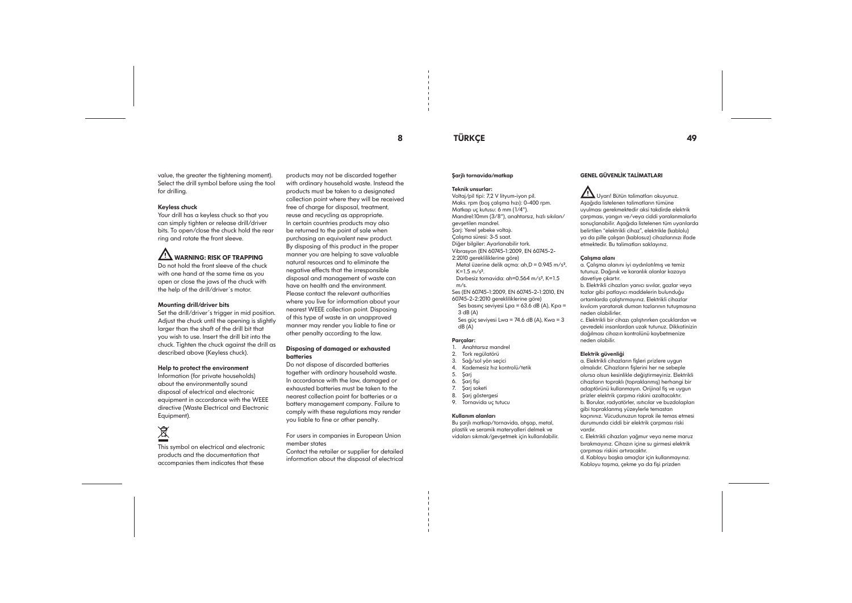value, the greater the tightening moment). Select the drill symbol before using the tool for drilling.

#### Keyless chuck

Your drill has a keyless chuck so that you can simply tighten or release drill/driver bits. To open/close the chuck hold the rear ring and rotate the front sleeve.

**1.1** WARNING: RISK OF TRAPPING Do not hold the front sleeve of the chuck with one hand at the same time as you open or close the jaws of the chuck with the help of the drill/driver´s motor.

#### Mounting drill/driver bits

Set the drill/driver´s trigger in mid position. Adjust the chuck until the opening is slightly larger than the shaft of the drill bit that you wish to use. Insert the drill bit into the chuck. Tighten the chuck against the drill as described above (Keyless chuck).

#### Help to protect the environment

Information (for private households) about the environmentally sound disposal of electrical and electronic equipment in accordance with the WEEE directive (Waste Electrical and Electronic Equipment).

# $\tilde{\mathbb{X}}$

This symbol on electrical and electronic products and the documentation that accompanies them indicates that these

2:2010 gerekliliklerine göre) Metal üzerine delik açma:  $ah.D = 0.945 m/s<sup>2</sup>$ ,  $K=1.5$  m/s<sup>2</sup>.

products may not be discarded together with ordinary household waste. Instead the products must be taken to a designated collection point where they will be received free of charge for disposal, treatment, reuse and recycling as appropriate. In certain countries products may also be returned to the point of sale when purchasing an equivalent new product. By disposing of this product in the proper manner you are helping to save valuable natural resources and to eliminate the negative effects that the irresponsible disposal and management of waste can have on health and the environment. Please contact the relevant authorities where you live for information about your nearest WEEE collection point. Disposing of this type of waste in an unapproved manner may render you liable to fine or other penalty according to the law.

### Disposing of damaged or exhausted batteries

Do not dispose of discarded batteries together with ordinary household waste. In accordance with the law, damaged or exhausted batteries must be taken to the nearest collection point for batteries or a battery management company. Failure to comply with these regulations may render you liable to fine or other penalty.

For users in companies in European Union member states

Contact the retailer or supplier for detailed information about the disposal of electrical

## 8 TÜRKÇE 49

### Şarjlı tornavida/matkap

#### Teknik unsurlar:

Voltaj/pil tipi: 7,2 V lityum-iyon pil. Maks. rpm (boş çalışma hızı): 0-400 rpm. Matkap uç kutusu: 6 mm (1/4"). Mandrel:10mm (3/8"), anahtarsız, hızlı sıkılan/ gevşetilen mandrel. Şarj: Yerel şebeke voltajı.

Çalışma süresi: 3-5 saat.

Diğer bilgiler: Ayarlanabilir tork.

### Vibrasyon (EN 60745-1:2009, EN 60745-2-

Darbesiz tornavida: ah=0.564 m/s², K=1.5 m/s.

Ses (EN 60745-1:2009, EN 60745-2-1:2010, EN 60745-2-2:2010 gerekliliklerine göre)

Ses basınç seviyesi Lpa = 63.6 dB (A), Kpa = 3 dB (A)

Ses güç seviyesi Lwa = 74.6 dB (A), Kwa = 3  $dB(A)$ 

#### Parçalar:

1. Anahtarsız mandrel

2. Tork regülatörü

3. Sağ/sol yön seçici 4. Kademesiz hız kontrolü/tetik

- 
- 

5. Şarj

6. Şarj fişi

- 7. Şarj soketi
- 
- 8. Şarj göstergesi
- 9. Tornavida uç tutucu

#### Kullanım alanları

Bu şarjlı matkap/tornavida, ahşap, metal,

plastik ve seramik materyalleri delmek ve vidaları sıkmak/gevşetmek için kullanılabilir.

#### GENEL GÜVENLİK TALİMATLARI

#### Uyarı! Bütün talimatları okuyunuz. Aşağıda listelenen talimatların tümüne uyulması gerekmektedir aksi takdirde elektrik çarpması, yangın ve/veya ciddi yaralanmalarla sonuçlanabilir. Aşağıda listelenen tüm uyarılarda belirtilen "elektrikli cihaz", elektrikle (kablolu)

ya da pille çalışan (kablosuz) cihazlarınızı ifade etmektedir. Bu talimatları saklayınız.

#### Çalışma alanı

a. Çalışma alanını iyi aydınlatılmış ve temiz tutunuz. Dağınık ve karanlık alanlar kazaya davetiye çıkartır. b. Elektrikli cihazları yanıcı sıvılar, gazlar veya tozlar gibi patlayıcı maddelerin bulunduğu ortamlarda çalıştırmayınız. Elektrikli cihazlar

kıvılcım yaratarak duman tozlarının tutuşmasına neden olabilirler.

c. Elektrikli bir cihazı çalıştırırken çocuklardan ve çevredeki insanlardan uzak tutunuz. Dikkatinizin dağılması cihazın kontrolünü kaybetmenize neden olabilir.

#### Elektrik güvenliği

a. Elektrikli cihazların fişleri prizlere uygun olmalıdır. Cihazların fişlerini her ne sebeple olursa olsun kesinlikle değiştirmeyiniz. Elektrikli cihazların topraklı (topraklanmış) herhangi bir adaptörünü kullanmayın. Orijinal fiş ve uygun prizler elektrik çarpma riskini azaltacaktır. b. Borular, radyatörler, ısıtıcılar ve buzdolapları gibi topraklanmış yüzeylerle temastan

kaçınınız. Vücudunuzun toprak ile temas etmesi durumunda ciddi bir elektrik çarpması riski vardır. c. Elektrikli cihazları yağmur veya neme maruz bırakmayınız. Cihazın içine su girmesi elektrik çarpması riskini artıracaktır. d. Kabloyu başka amaçlar için kullanmayınız. Kabloyu taşıma, çekme ya da fişi prizden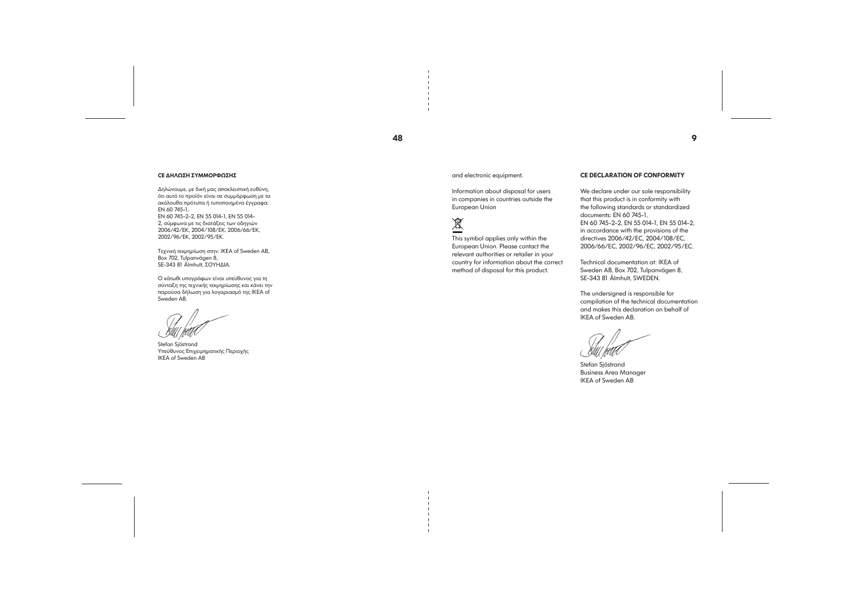## 48

9

#### CE ΔΗΛΩΣΗ ΣΥΜΜΟΡΦΩΣΗΣ

Δηλώνουμε, με δική μας αποκλειστική ευθύνη, ότι αυτό το προϊόν είναι σε συμμόρφωση με τα ακόλουθα πρότυπα ή τυποποιημένα έγγραφα: EN 60 745-1,

EN 60 745-2-2, EN 55 014-1, EN 55 014- 2, σύμφωνα με τις διατάξεις των οδηγιών 2006/42/ΕΚ, 2004/108/ΕΚ, 2006/66/ΕΚ, 2002/96/ΕΚ, 2002/95/ΕΚ.

Τεχνική τεκμηρίωση στην: IKEA of Sweden AB, Box 702, Tulpanvägen 8, SE-343 81 Älmhult, ΣΟΥΗΔΙΑ.

Ο κάτωθι υπογράφων είναι υπεύθυνος για τη σύνταξη της τεχνικής τεκμηρίωσης και κάνει την παρούσα δήλωση για λογαριασμό της IKEA of Sweden AB.

Stefan Sjöstrand Υπεύθυνος Επιχειρηματικής Περιοχής IKEA of Sweden AB

and electronic equipment.

Information about disposal for users in companies in countries outside the European Union



This symbol applies only within the European Union. Please contact the relevant authorities or retailer in your country for information about the correct method of disposal for this product.

#### CE DECLARATION OF CONFORMITY

We declare under our sole responsibility that this product is in conformity with the following standards or standardized documents: EN 60 745-1, EN 60 745-2-2, EN 55 014-1, EN 55 014-2, in accordance with the provisions of the directives 2006/42/EC, 2004/108/EC, 2006/66/EC, 2002/96/EC, 2002/95/EC.

Technical documentation at: IKEA of Sweden AB, Box 702, Tulpanvägen 8, SE-343 81 Älmhult, SWEDEN.

The undersigned is responsible for compilation of the technical documentation and makes this declaration on behalf of IKEA of Sweden AB.

Stefan Sjöstrand Business Area Manager IKEA of Sweden AB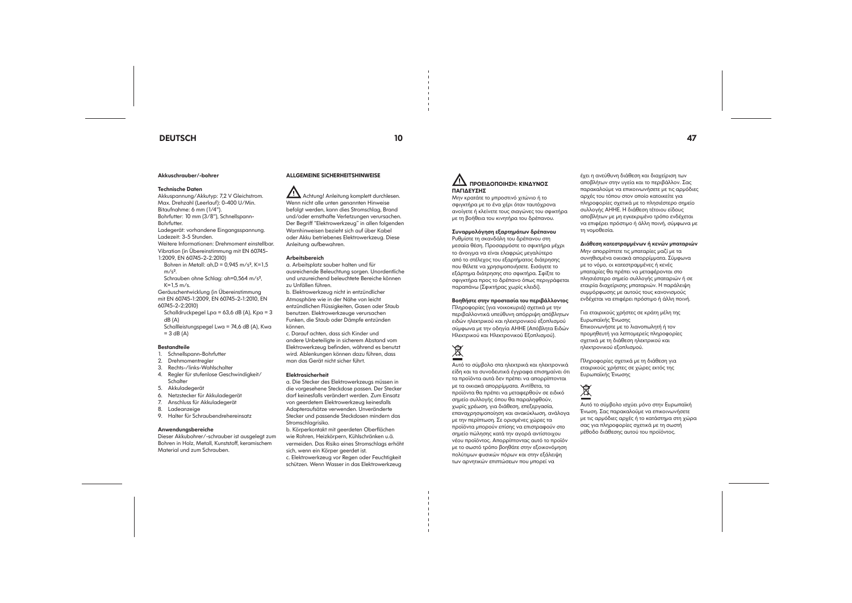## DEUTSCH 10 47

#### Akkuschrauber/-bohrer

#### Technische Daten

Akkuspannung/Akkutyp: 7,2 V Gleichstrom. Max. Drehzahl (Leerlauf): 0-400 U/Min.

Bitaufnahme: 6 mm (1/4"). Bohrfutter: 10 mm (3/8"), Schnellspann-

Schrauben ohne Schlag: ah=0,564 m/s²,  $K=1.5$  m/s.

Bohrfutter. Ladegerät: vorhandene Eingangsspannung.

Ladezeit: 3-5 Stunden.

Weitere Informationen: Drehmoment einstellbar.

Schalldruckpegel Lpa = 63,6 dB (A),  $Kpa = 3$ dB (A)

Schallleistungspegel Lwa = 74,6 dB (A), Kwa  $= 3$  dB (A)

#### **Bestandteile**

Vibration (in Übereinstimmung mit EN 60745- 1:2009, EN 60745-2-2:2010)

Bohren in Metall:  $ah.D = 0.945 m/s^2$ , K=1,5  $m/s<sup>2</sup>$ .

Geräuschentwicklung (in Übereinstimmung mit EN 60745-1:2009, EN 60745-2-1:2010, EN 60745-2-2:2010)

1. Schnellspann-Bohrfutter

Achtung! Anleitung komplett durchlesen. Wenn nicht alle unten genannten Hinweise befolgt werden, kann dies Stromschlag, Brand und/oder ernsthafte Verletzungen verursachen. Der Begriff "Elektrowerkzeug" in allen folgenden Warnhinweisen bezieht sich auf über Kabel oder Akku betriebenes Elektrowerkzeug. Diese Anleitung aufbewahren.

- 2. Drehmomentregler
- 3. Rechts-/links-Wahlschalter
- 4. Regler für stufenlose Geschwindigkeit/
- **Schalter**
- 5. Akkuladegerät
- 6. Netzstecker für Akkuladegerät
- 7. Anschluss für Akkuladegerät
- 8. Ladeanzeige
- 9. Halter für Schraubendrehereinsatz

#### Anwendungsbereiche

Dieser Akkubohrer/-schrauber ist ausgelegt zum Bohren in Holz, Metall, Kunststoff, keramischem Material und zum Schrauben.

### ALLGEMEINE SICHERHEITSHINWEISE

#### Arbeitsbereich

a. Arbeitsplatz sauber halten und für ausreichende Beleuchtung sorgen. Unordentliche und unzureichend beleuchtete Bereiche können zu Unfällen führen.

b. Elektrowerkzeug nicht in entzündlicher Atmosphäre wie in der Nähe von leicht entzündlichen Flüssigkeiten, Gasen oder Staub benutzen. Elektrowerkzeuge verursachen Funken, die Staub oder Dämpfe entzünden können.

c. Darauf achten, dass sich Kinder und andere Unbeteiligte in sicherem Abstand vom Elektrowerkzeug befinden, während es benutzt wird. Ablenkungen können dazu führen, dass man das Gerät nicht sicher führt.

#### Elektrosicherheit

a. Die Stecker des Elektrowerkzeugs müssen in die vorgesehene Steckdose passen. Der Stecker darf keinesfalls verändert werden. Zum Einsatz von geerdetem Elektrowerkzeug keinesfalls Adapteraufsätze verwenden. Unveränderte Stecker und passende Steckdosen mindern das Stromschlagrisiko.

b. Körperkontakt mit geerdeten Oberflächen wie Rohren, Heizkörpern, Kühlschränken u.ä. vermeiden. Das Risiko eines Stromschlags erhöht sich, wenn ein Körper geerdet ist.

c. Elektrowerkzeug vor Regen oder Feuchtigkeit schützen. Wenn Wasser in das Elektrowerkzeug

## ΠΡΟΕΙΔΟΠΟΙΗΣΗ: ΚΙΝΔΥΝΟΣ ΠΑΓΙΔΕΥΣΗΣ

Μην κρατάτε το μπροστινό χιτώνιο ή το σφιγκτήρα με το ένα χέρι όταν ταυτόχρονα ανοίγετε ή κλείνετε τους σιαγώνες του σφικτήρα με τη βοήθεια του κινητήρα του δρέπανου.

#### Συναρμολόγηση εξαρτημάτων δρέπανου

Ρυθμίστε τη σκανδάλη του δρέπανου στη μεσαία θέση. Προσαρμόστε το σφικτήρα μέχρι το άνοιγμα να είναι ελαφρώς μεγαλύτερο από το στέλεχος του εξαρτήματος διάτρησης που θέλετε να χρησιμοποιήσετε. Εισάγετε το εξάρτημα διάτρησης στο σφικτήρα. Σφίξτε το σφιγκτήρα προς το δρέπανο όπως περιγράφεται παραπάνω (Σφικτήρας χωρίς κλειδί).

#### Βοηθήστε στην προστασία του περιβάλλοντος

Πληροφορίες (για νοικοκυριά) σχετικά με την περιβαλλοντικά υπεύθυνη απόρριψη απόβλητων ειδών ηλεκτρικού και ηλεκτρονικού εξοπλισμού σύμφωνα με την οδηγία ΑΗΗΕ (Απόβλητα Ειδών Ηλεκτρικού και Ηλεκτρονικού Εξοπλισμού).



Αυτό το σύμβολο στα ηλεκτρικά και ηλεκτρονικά είδη και τα συνοδευτικά έγγραφα επισημαίνει ότι τα προϊόντα αυτά δεν πρέπει να απορρίπτονται με τα οικιακά απορρίμματα. Αντίθετα, τα προϊόντα θα πρέπει να μεταφερθούν σε ειδικό σημείο συλλογής όπου θα παραληφθούν, χωρίς χρέωση, για διάθεση, επεξεργασία, επαναχρησιμοποίηση και ανακύκλωση, ανάλογα με την περίπτωση. Σε ορισμένες χώρες τα προϊόντα μπορούν επίσης να επιστραφούν στο σημείο πώλησης κατά την αγορά αντίστοιχου νέου προϊόντος. Απορρίπτοντας αυτό το προϊόν με το σωστό τρόπο βοηθάτε στην εξοικονόμηση πολύτιμων φυσικών πόρων και στην εξάλειψη των αρνητικών επιπτώσεων που μπορεί να

έχει η ανεύθυνη διάθεση και διαχείριση των αποβλήτων στην υγεία και το περιβάλλον. Σας παρακαλούμε να επικοινωνήσετε με τις αρμόδιες αρχές του τόπου στον οποίο κατοικείτε για πληροφορίες σχετικά με το πλησιέστερο σημείο συλλογής ΑΗΗΕ. Η διάθεση τέτοιου είδους αποβλήτων με μη εγκεκριμένο τρόπο ενδέχεται να επιφέρει πρόστιμο ή άλλη ποινή, σύμφωνα με τη νομοθεσία.

#### Διάθεση κατεστραμμένων ή κενών μπαταριών

Μην απορρίπτετε τις μπαταρίες μαζί με τα συνηθισμένα οικιακά απορρίμματα. Σύμφωνα με το νόμο, οι κατεστραμμένες ή κενές μπαταρίες θα πρέπει να μεταφέρονται στο πλησιέστερο σημείο συλλογής μπαταριών ή σε εταιρία διαχείρισης μπαταριών. Η παράλειψη συμμόρφωσης με αυτούς τους κανονισμούς

ενδέχεται να επιφέρει πρόστιμο ή άλλη ποινή.

Για εταιρικούς χρήστες σε κράτη μέλη της Ευρωπαϊκής Ένωσης Επικοινωνήστε με το λιανοπωλητή ή τον προμηθευτή για λεπτομερείς πληροφορίες σχετικά με τη διάθεση ηλεκτρικού και ηλεκτρονικού εξοπλισμού.

Πληροφορίες σχετικά με τη διάθεση για εταιρικούς χρήστες σε χώρες εκτός της Ευρωπαϊκής Ένωσης

## 凰

Αυτό το σύμβολο ισχύει μόνο στην Ευρωπαϊκή Ένωση. Σας παρακαλούμε να επικοινωνήσετε με τις αρμόδιες αρχές ή το κατάστημα στη χώρα σας για πληροφορίες σχετικά με τη σωστή μέθοδο διάθεσης αυτού του προϊόντος.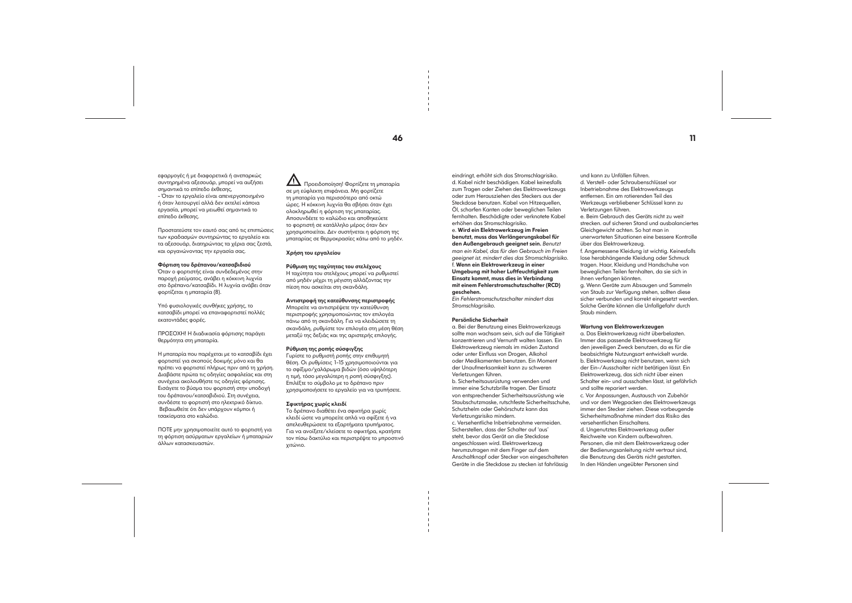εφαρμογές ή με διαφορετικά ή ανεπαρκώς συντηρημένα αξεσουάρ, μπορεί να αυξήσει σημαντικά το επίπεδο έκθεσης,

- Όταν το εργαλείο είναι απενεργοποιημένο ή όταν λειτουργεί αλλά δεν εκτελεί κάποια εργασία, μπορεί να μειωθεί σημαντικά το επίπεδο έκθεσης.

Προστατεύστε τον εαυτό σας από τις επιπτώσεις των κραδασμών συντηρώντας το εργαλείο και τα αξεσουάρ, διατηρώντας τα χέρια σας ζεστά, και οργανώνοντας την εργασία σας.

#### Φόρτιση του δρέπανου/κατσαβιδιού

Όταν ο φορτιστής είναι συνδεδεμένος στην παροχή ρεύματος, ανάβει η κόκκινη λυχνία στο δρέπανο/κατσαβίδι. Η λυχνία ανάβει όταν φορτίζεται η μπαταρία (8).

Υπό φυσιολογικές συνθήκες χρήσης, το κατσαβίδι μπορεί να επαναφορτιστεί πολλές εκατοντάδες φορές.

ΠΡΟΣΟΧΗ! Η διαδικασία φόρτισης παράγει θερμότητα στη μπαταρία.

Η μπαταρία που παρέχεται με το κατσαβίδι έχει φορτιστεί για σκοπούς δοκιμής μόνο και θα πρέπει να φορτιστεί πλήρως πριν από τη χρήση. Διαβάστε πρώτα τις οδηγίες ασφαλείας και στη συνέχεια ακολουθήστε τις οδηγίες φόρτισης. Εισάγετε το βύσμα του φορτιστή στην υποδοχή του δρέπανου/κατσαβιδιού. Στη συνέχεια, συνδέστε το φορτιστή στο ηλεκτρικό δίκτυο. Βεβαιωθείτε ότι δεν υπάρχουν κόμποι ή τσακίσματα στο καλώδιο.

ΠΟΤΕ μην χρησιμοποιείτε αυτό το φορτιστή για τη φόρτιση ασύρματων εργαλείων ή μπαταριών άλλων κατασκευαστών.

 Προειδοποίηση! Φορτίζετε τη μπαταρία σε μη εύφλεκτη επιφάνεια. Μη φορτίζετε τη μπαταρία για περισσότερο από οκτώ ώρες. Η κόκκινη λυχνία θα σβήσει όταν έχει ολοκληρωθεί η φόρτιση της μπαταρίας. Αποσυνδέετε το καλώδιο και αποθηκεύετε το φορτιστή σε κατάλληλο μέρος όταν δεν χρησιμοποιείται. Δεν συστήνεται η φόρτιση της μπαταρίας σε θερμοκρασίες κάτω από το μηδέν.

#### Χρήση του εργαλείου

#### Ρύθμιση της ταχύτητας του στελέχους

Η ταχύτητα του στελέχους μπορεί να ρυθμιστεί από μηδέν μέχρι τη μέγιστη αλλάζοντας την πίεση που ασκείται στη σκανδάλη.

#### Αντιστροφή της κατεύθυνσης περιστροφής

Μπορείτε να αντιστρέψετε την κατεύθυνση περιστροφής χρησιμοποιώντας τον επιλογέα πάνω από τη σκανδάλη. Για να κλειδώσετε τη σκανδάλη, ρυθμίστε τον επιλογέα στη μέση θέση μεταξύ της δεξιάς και της αριστερής επιλογής.

#### Ρύθμιση της ροπής σύσφιγξης

Γυρίστε το ρυθμιστή ροπής στην επιθυμητή θέση. Οι ρυθμίσεις 1-15 χρησιμοποιούνται για το σφίξιμο/χαλάρωμα βιδών (όσο υψηλότερη η τιμή, τόσο μεγαλύτερη η ροπή σύσφιγξης). Επιλέξτε το σύμβολο με το δρέπανο πριν χρησιμοποιήσετε το εργαλείο για να τρυπήσετε.

#### Σφικτήρας χωρίς κλειδί

Το δρέπανο διαθέτει ένα σφικτήρα χωρίς κλειδί ώστε να μπορείτε απλά να σφίξετε ή να απελευθερώσετε τα εξαρτήματα τρυπήματος. Για να ανοίξετε/κλείσετε το σφικτήρα, κρατήστε τον πίσω δακτύλιο και περιστρέψτε το μπροστινό χιτώνιο.

eindringt, erhöht sich das Stromschlagrisiko. d. Kabel nicht beschädigen. Kabel keinesfalls zum Tragen oder Ziehen des Elektrowerkzeugs oder zum Herausziehen des Steckers aus der Steckdose benutzen. Kabel von Hitzequellen, Öl, scharfen Kanten oder beweglichen Teilen fernhalten. Beschädigte oder verknotete Kabel erhöhen das Stromschlagrisiko.

#### e. Wird ein Elektrowerkzeug im Freien benutzt, muss das Verlängerungskabel für den Außengebrauch geeignet sein. *Benutzt man ein Kabel, das für den Gebrauch im Freien geeignet ist, mindert dies das Stromschlagrisiko.*  f. Wenn ein Elektrowerkzeug in einer Umgebung mit hoher Luftfeuchtigkeit zum Einsatz kommt, muss dies in Verbindung mit einem Fehlerstromschutzschalter (RCD) geschehen.

*Ein Fehlerstromschutzschalter mindert das Stromschlagrisiko.*

#### Persönliche Sicherheit

a. Bei der Benutzung eines Elektrowerkzeugs sollte man wachsam sein, sich auf die Tätigkeit konzentrieren und Vernunft walten lassen. Ein Elektrowerkzeug niemals im müden Zustand oder unter Einfluss von Drogen, Alkohol oder Medikamenten benutzen. Ein Moment der Unaufmerksamkeit kann zu schweren Verletzungen führen.

b. Sicherheitsausrüstung verwenden und immer eine Schutzbrille tragen. Der Einsatz von entsprechender Sicherheitsausrüstung wie Staubschutzmaske, rutschfeste Sicherheitsschuhe, Schutzhelm oder Gehörschutz kann das Verletzungsrisiko mindern.

c. Versehentliche Inbetriebnahme vermeiden. Sicherstellen, dass der Schalter auf 'aus' steht, bevor das Gerät an die Steckdose angeschlossen wird. Elektrowerkzeug herumzutragen mit dem Finger auf dem Anschaltknopf oder Stecker von eingeschalteten Geräte in die Steckdose zu stecken ist fahrlässig und kann zu Unfällen führen. d. Verstell- oder Schraubenschlüssel vor Inbetriebnahme des Elektrowerkzeugs entfernen. Ein am rotierenden Teil des Werkzeugs verbliebener Schlüssel kann zu Verletzungen führen.

e. Beim Gebrauch des Geräts nicht zu weit strecken. auf sicheren Stand und ausbalanciertes Gleichgewicht achten. So hat man in unerwarteten Situationen eine bessere Kontrolle über das Elektrowerkzeug. f. Angemessene Kleidung ist wichtig. Keinesfalls lose herabhängende Kleidung oder Schmuck tragen. Haar, Kleidung und Handschuhe von beweglichen Teilen fernhalten, da sie sich in ihnen verfangen könnten. g. Wenn Geräte zum Absaugen und Sammeln von Staub zur Verfügung stehen, sollten diese sicher verbunden und korrekt eingesetzt werden. Solche Geräte können die Unfallgefahr durch Staub mindern.

#### Wartung von Elektrowerkzeugen

a. Das Elektrowerkzeug nicht überbelasten. Immer das passende Elektrowerkzeug für den jeweiligen Zweck benutzen, da es für die beabsichtigte Nutzungsart entwickelt wurde. b. Elektrowerkzeug nicht benutzen, wenn sich der Ein-/Ausschalter nicht betätigen lässt. Ein Elektrowerkzeug, das sich nicht über einen Schalter ein- und ausschalten lässt, ist gefährlich und sollte repariert werden. c. Vor Anpassungen, Austausch von Zubehör und vor dem Wegpacken des Elektrowerkzeugs immer den Stecker ziehen. Diese vorbeugende Sicherheitsmaßnahme mindert das Risiko des versehentlichen Einschaltens. d. Ungenutztes Elektrowerkzeug außer Reichweite von Kindern aufbewahren. Personen, die mit dem Elektrowerkzeug oder der Bedienungsanleitung nicht vertraut sind, die Benutzung des Geräts nicht gestatten. In den Händen ungeübter Personen sind

## $\overline{a}$  11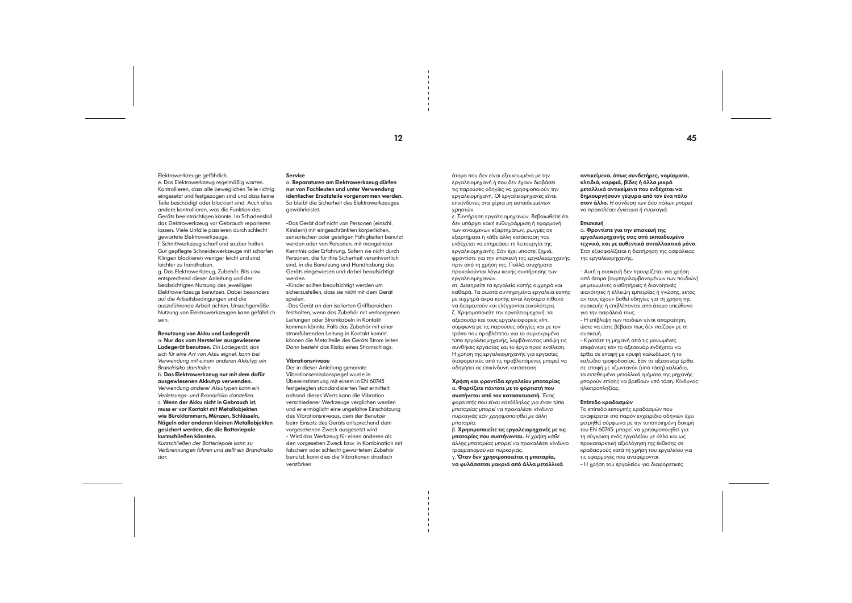#### Elektrowerkzeuge gefährlich.

e. Das Elektrowerkzeug regelmäßig warten. Kontrollieren, dass alle beweglichen Teile richtig eingesetzt und festgezogen sind und dass keine Teile beschädigt oder blockiert sind. Auch alles andere kontrollieren, was die Funktion des Geräts beeinträchtigen könnte. Im Schadensfall das Elektrowerkzeug vor Gebrauch reparieren lassen. Viele Unfälle passieren durch schlecht gewartete Elektrowerkzeuge. f. Schnittwerkzeug scharf und sauber halten.

Gut gepflegte Schneidewerkzeuge mit scharfen Klingen blockieren weniger leicht und sind leichter zu handhaben.

g. Das Elektrowerkzeug, Zubehör, Bits usw. entsprechend dieser Anleitung und der beabsichtigten Nutzung des jeweiligen Elektrowerkzeugs benutzen. Dabei besonders auf die Arbeitsbedingungen und die auszuführende Arbeit achten. Unsachgemäße Nutzung von Elektrowerkzeugen kann gefährlich sein.

Benutzung von Akku und Ladegerät a. Nur das vom Hersteller ausgewiesene Ladegerät benutzen. *Ein Ladegerät, das sich für eine Art von Akku eignet, kann bei Verwendung mit einem anderen Akkutyp ein Brandrisiko darstellen.*

b. Das Elektrowerkzeug nur mit dem dafür ausgewiesenen Akkutyp verwenden. *Verwendung anderer Akkutypen kann ein Verletzungs- und Brandrisiko darstellen.* c. Wenn der Akku nicht in Gebrauch ist, muss er vor Kontakt mit Metallobjekten wie Büroklammern, Münzen, Schlüsseln, Nägeln oder anderen kleinen Metallobjekten gesichert werden, die die Batteriepole kurzschließen könnten.

*Kurzschließen der Batteriepole kann zu Verbrennungen führen und stellt ein Brandrisiko dar.*

#### Service

a. Reparaturen am Elektrowerkzeug dürfen nur von Fachleuten und unter Verwendung identischer Ersatzteile vorgenommen werden. So bleibt die Sicherheit des Elektrowerkzeuges gewährleistet.

-Das Gerät darf nicht von Personen (einschl. Kindern) mit eingeschränkten körperlichen, sensorischen oder geistigen Fähigkeiten benutzt werden oder von Personen, mit mangelnder Kenntnis oder Erfahrung. Sofern sie nicht durch Personen, die für ihre Sicherheit verantwortlich sind, in die Benutzung und Handhabung des Geräts eingewiesen und dabei beaufsichtigt werden.

-Kinder sollten beaufsichtigt werden um sicherzustellen, dass sie nicht mit dem Gerät spielen.

-Das Gerät an den isolierten Griffbereichen festhalten, wenn das Zubehör mit verborgenen Leitungen oder Stromkabeln in Kontakt kommen könnte. Falls das Zubehör mit einer stromführenden Leitung in Kontakt kommt, können die Metallteile des Geräts Strom leiten. Dann besteht das Risiko eines Stromschlags.

#### Vibrationsniveau

Der in dieser Anleitung genannte Vibrationsemissionspegel wurde in Übereinstimmung mit einem in EN 60745 festgelegten standardisierten Test ermittelt; anhand dieses Werts kann die Vibration verschiedener Werkzeuge verglichen werden und er ermöglicht eine ungefähre Einschätzung des Vibrationsniveaus, dem der Benutzer beim Einsatz des Geräts entsprechend dem vorgesehenen Zweck ausgesetzt wird - Wird das Werkzeug für einen anderen als den vorgesehen Zweck bzw. in Kombination mit falschem oder schlecht gewartetem Zubehör benutzt, kann dies die Vibrationen drastisch verstärken

άτομα που δεν είναι εξοικειωμένα με την εργαλειομηχανή ή που δεν έχουν διαβάσει τις παρούσες οδηγίες να χρησιμοποιούν την εργαλειομηχανή. ΟΙ εργαλειομηχανές είναι επικίνδυνες στα χέρια μη εκπαιδευμένων χρηστών.

ε. Συντήρηση εργαλειομηχανών. Βεβαιωθείτε ότι δεν υπάρχει κακή ευθυγράμμιση ή εφαρμογή των κινούμενων εξαρτημάτων, ρωγμές σε εξαρτήματα ή κάθε άλλη κατάσταση που ενδέχεται να επηρεάσει τη λειτουργία της εργαλειομηχανής. Εάν έχει υποστεί ζημιά, φροντίστε για την επισκευή της εργαλειομηχανής πριν από τη χρήση της. Πολλά ατυχήματα προκαλούνται λόγω κακής συντήρησης των εργαλειομηχανών.

στ. Διατηρείτε τα εργαλεία κοπής αιχμηρά και καθαρά. Τα σωστά συντηρημένα εργαλεία κοπής με αιχμηρά άκρα κοπής είναι λιγότερο πιθανό να δεσμευτούν και ελέγχονται ευκολότερα. ζ. Χρησιμοποιείτε την εργαλειομηχανή, τα αξεσουάρ και τους εργαλειοφορείς κλπ, σύμφωνα με τις παρούσες οδηγίες και με τον τρόπο που προβλέπεται για το συγκεκριμένο τύπο εργαλειομηχανής, λαμβάνοντας υπόψη τις συνθήκες εργασίας και το έργο προς εκτέλεση. Η χρήση της εργαλειομηχανής για εργασίες διαφορετικές από τις προβλεπόμενες μπορεί να οδηγήσει σε επικίνδυνη κατάσταση.

#### Χρήση και φροντίδα εργαλείου μπαταρίας α. Φορτίζετε πάντοτε με το φορτιστή που συστήνεται από τον κατασκευαστή. *Ένας φορτιστής που είναι κατάλληλος για έναν τύπο μπαταρίας μπορεί να προκαλέσει κίνδυνο*

*πυρκαγιάς εάν χρησιμοποιηθεί με άλλη μπαταρία.* β. Χρησιμοποιείτε τις εργαλειομηχανές με τις

μπαταρίες που συστήνονται. *Η χρήση κάθε άλλης μπαταρίας μπορεί να προκαλέσει κίνδυνο τραυματισμού και πυρκαγιάς.* γ. Όταν δεν χρησιμοποιείται η μπαταρία,

να φυλάσσεται μακριά από άλλα μεταλλικά

αντικείμενα, όπως συνδετήρες, νομίσματα, κλειδιά, καρφιά, βίδες ή άλλα μικρά μεταλλικά αντικείμενα που ενδέχεται να δημιουργήσουν γέφυρα από τον ένα πόλο στον άλλο. *Η σύνδεση των δύο πόλων μπορεί να προκαλέσει έγκαυμα ή πυρκαγιά.*

#### Επισκευή

α. Φροντίστε για την επισκευή της εργαλειομηχανής σας από εκπαιδευμένο τεχνικό, και με αυθεντικά ανταλλακτικά μόνο. Έτσι εξασφαλίζεται η διατήρηση της ασφάλειας της εργαλειομηχανής.

> - Αυτή η συσκευή δεν προορίζεται για χρήση από άτομα (συμπεριλαμβανομένων των παιδιών) με μειωμένες αισθητήριες ή διανοητικές ικανότητες ή έλλειψη εμπειρίας ή γνώσης, εκτός αν τους έχουν δοθεί οδηγίες για τη χρήση της συσκευής ή επιβλέπονται από άτομο υπεύθυνο για την ασφάλειά τους. - Η επίβλεψη των παιδιών είναι απαραίτητη, ώστε να είστε βέβαιοι πως δεν παίζουν με τη συσκευή.

> - Κρατάτε τη μηχανή από τις μονωμένες επιφάνειες εάν το αξεσουάρ ενδέχεται να έρθει σε επαφή με κρυφή καλωδίωση ή το καλώδιο τροφοδοσίας. Εάν το αξεσουάρ έρθει σε επαφή με «ζωντανό» (υπό τάση) καλώδιο, τα εκτεθειμένα μεταλλικά τμήματα της μηχανής μπορούν επίσης να βρεθούν υπό τάση. Κίνδυνος ηλεκτροπληξίας.

#### Επίπεδο κραδασμών

Το επίπεδο εκπομπής κραδασμών που αναφέρεται στο παρόν εγχειρίδιο οδηγιών έχει μετρηθεί σύμφωνα με την τυποποιημένη δοκιμή του EN 60745· μπορεί να χρησιμοποιηθεί για τη σύγκριση ενός εργαλείου με άλλο και ως προκαταρκτική αξιολόγηση της έκθεσης σε κραδασμούς κατά τη χρήση του εργαλείου για τις εφαρμογές που αναφέρονται. - Η χρήση του εργαλείου για διαφορετικές

 $12$  and  $45$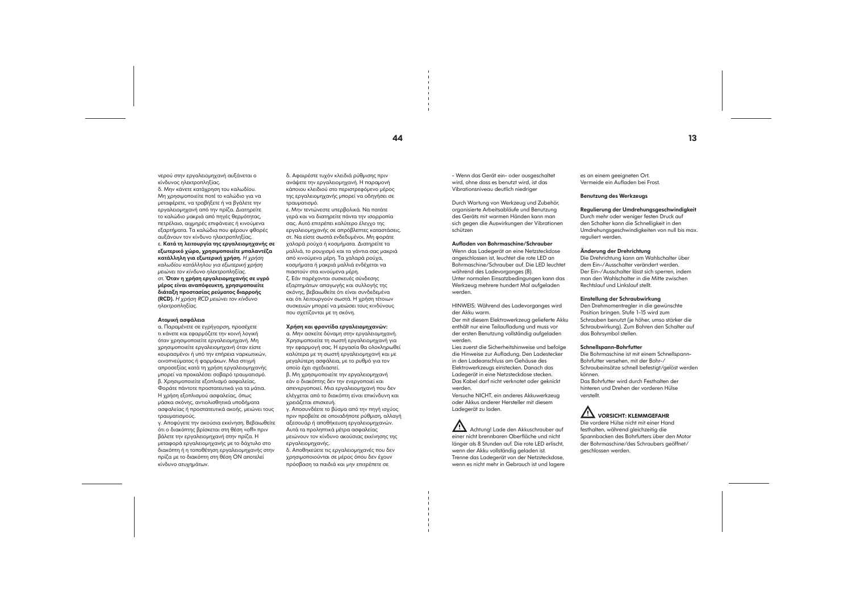νερού στην εργαλειομηχανή αυξάνεται ο κίνδυνος ηλεκτροπληξίας.

δ. Μην κάνετε κατάχρηση του καλωδίου. Μη χρησιμοποιείτε ποτέ το καλώδιο για να μεταφέρετε, να τραβήξετε ή να βγάλετε την εργαλειομηχανή από την πρίζα. Διατηρείτε το καλώδιο μακριά από πηγές θερμότητας, πετρέλαιο, αιχμηρές επιφάνειες ή κινούμενα εξαρτήματα. Τα καλώδια που φέρουν φθορές αυξάνουν τον κίνδυνο ηλεκτροπληξίας. ε. Κατά τη λειτουργία της εργαλειομηχανής σε εξωτερικό χώρο, χρησιμοποιείτε μπαλαντέζα κατάλληλη για εξωτερική χρήση. *Η χρήση καλωδίου κατάλληλου για εξωτερική χρήση μειώνει τον κίνδυνο ηλεκτροπληξίας.*  στ. Όταν η χρήση εργαλειομηχανής σε υγρό μέρος είναι αναπόφευκτη, χρησιμοποιείτε διάταξη προστασίας ρεύματος διαρροής (RCD). *Η χρήση RCD μειώνει τον κίνδυνο ηλεκτροπληξίας.*

#### Ατομική ασφάλεια

α. Παραμένετε σε εγρήγορση, προσέχετε τι κάνετε και εφαρμόζετε την κοινή λογική όταν χρησιμοποιείτε εργαλειομηχανή. Μη χρησιμοποιείτε εργαλειομηχανή όταν είστε κουρασμένοι ή υπό την επήρεια ναρκωτικών, οινοπνεύματος ή φαρμάκων. Μια στιγμή απροσεξίας κατά τη χρήση εργαλειομηχανής μπορεί να προκαλέσει σοβαρό τραυματισμό. β. Χρησιμοποιείτε εξοπλισμό ασφαλείας. Φοράτε πάντοτε προστατευτικά για τα μάτια. Η χρήση εξοπλισμού ασφαλείας, όπως μάσκα σκόνης, αντιολισθητικά υποδήματα ασφαλείας ή προστατευτικά ακοής, μειώνει τους τραυματισμούς.

γ. Αποφύγετε την ακούσια εκκίνηση. Βεβαιωθείτε ότι ο διακόπτης βρίσκεται στη θέση «off» πριν βάλετε την εργαλειομηχανή στην πρίζα. Η μεταφορά εργαλειομηχανής με το δάχτυλο στο διακόπτη ή η τοποθέτηση εργαλειομηχανής στην πρίζα με το διακόπτη στη θέση ΟΝ αποτελεί κίνδυνο ατυχημάτων.

δ. Αφαιρέστε τυχόν κλειδιά ρύθμισης πριν ανάψετε την εργαλειομηχανή. Η παραμονή κάποιου κλειδιού στο περιστρεφόμενο μέρος της εργαλειομηχανής μπορεί να οδηγήσει σε τραυματισμό.

ε. Μην τεντώνεστε υπερβολικά. Να πατάτε γερά και να διατηρείτε πάντα την ισορροπία σας. Αυτό επιτρέπει καλύτερο έλεγχο της εργαλειομηχανής σε απρόβλεπτες καταστάσεις. στ. Να είστε σωστά ενδεδυμένοι. Μη φοράτε χαλαρά ρούχα ή κοσμήματα. Διατηρείτε τα μαλλιά, το ρουχισμό και τα γάντια σας μακριά από κινούμενα μέρη. Τα χαλαρά ρούχα, κοσμήματα ή μακριά μαλλιά ενδέχεται να πιαστούν στα κινούμενα μέρη. ζ. Εάν παρέχονται συσκευές σύνδεσης εξαρτημάτων απαγωγής και συλλογής της σκόνης, βεβαιωθείτε ότι είναι συνδεδεμένα και ότι λειτουργούν σωστά. Η χρήση τέτοιων συσκευών μπορεί να μειώσει τους κινδύνους που σχετίζονται με τη σκόνη.

#### Achtung! Lade den Akkuschrauber auf einer nicht brennbaren Oberfläche und nicht länger als 8 Stunden auf. Die rote LED erlischt, wenn der Akku vollständig geladen ist. Trenne das Ladegerät von der Netzsteckdose, wenn es nicht mehr in Gebrauch ist und lagere

#### Χρήση και φροντίδα εργαλειομηχανών:

α. Μην ασκείτε δύναμη στην εργαλειομηχανή. Χρησιμοποιείτε τη σωστή εργαλειομηχανή για την εφαρμογή σας. Η εργασία θα ολοκληρωθεί καλύτερα με τη σωστή εργαλειομηχανή και με μεγαλύτερη ασφάλεια, με το ρυθμό για τον οποίο έχει σχεδιαστεί.

β. Μη χρησιμοποιείτε την εργαλειομηχανή εάν ο διακόπτης δεν την ενεργοποιεί και απενεργοποιεί. Μια εργαλειομηχανή που δεν ελέγχεται από το διακόπτη είναι επικίνδυνη και χρειάζεται επισκευή.

γ. Αποσυνδέετε το βύσμα από την πηγή ισχύος πριν προβείτε σε οποιαδήποτε ρύθμιση, αλλαγή αξεσουάρ ή αποθήκευση εργαλειομηχανών. Αυτά τα προληπτικά μέτρα ασφαλείας μειώνουν τον κίνδυνο ακούσιας εκκίνησης της εργαλειομηχανής.

δ. Αποθηκεύετε τις εργαλειομηχανές που δεν χρησιμοποιούνται σε μέρος όπου δεν έχουν πρόσβαση τα παιδιά και μην επιτρέπετε σε

- Wenn das Gerät ein- oder ausgeschaltet wird, ohne dass es benutzt wird, ist das Vibrationsniveau deutlich niedriger

Durch Wartung von Werkzeug und Zubehör, organisierte Arbeitsabläufe und Benutzung des Geräts mit warmen Händen kann man sich gegen die Auswirkungen der Vibrationen schützen

#### Aufladen von Bohrmaschine/Schrauber

Wenn das Ladegerät an eine Netzsteckdose angeschlossen ist, leuchtet die rote LED an Bohrmaschine/Schrauber auf. Die LED leuchtet während des Ladevorganges (8). Unter normalen Einsatzbedingungen kann das Werkzeug mehrere hundert Mal aufgeladen werden.

HINWEIS: Während des Ladevorganges wird der Akku warm.

Der mit diesem Elektrowerkzeug gelieferte Akku enthält nur eine Teilaufladung und muss vor der ersten Benutzung vollständig aufgeladen werden.

Lies zuerst die Sicherheitshinweise und befolge die Hinweise zur Aufladung. Den Ladestecker in den Ladeanschluss am Gehäuse des Elektrowerkzeugs einstecken. Danach das Ladegerät in eine Netzsteckdose stecken. Das Kabel darf nicht verknotet oder geknickt werden.

Versuche NICHT, ein anderes Akkuwerkzeug oder Akkus anderer Hersteller mit diesem Ladegerät zu laden.

es an einem geeigneten Ort. Vermeide ein Aufladen bei Frost.

#### Benutzung des Werkzeugs

Regulierung der Umdrehungsgeschwindigkeit Durch mehr oder weniger festen Druck auf den Schalter kann die Schnelligkeit in den Umdrehungsgeschwindigkeiten von null bis max. reguliert werden.

Änderung der Drehrichtung Die Drehrichtung kann am Wahlschalter über

dem Ein-/Ausschalter verändert werden.

Der Ein-/Ausschalter lässt sich sperren, indem man den Wahlschalter in die Mitte zwischen Rechtslauf und Linkslauf stellt.

> Einstellung der Schraubwirkung Den Drehmomentregler in die gewünschte Position bringen. Stufe 1-15 wird zum Schrauben benutzt (je höher, umso stärker die Schraubwirkung). Zum Bohren den Schalter auf das Bohrsymbol stellen.

#### Schnellspann-Bohrfutter

Die Bohrmaschine ist mit einem Schnellspann-Bohrfutter versehen, mit der Bohr-/ Schraubeinsätze schnell befestigt/gelöst werden können. Das Bohrfutter wird durch Festhalten der hinteren und Drehen der vorderen Hülse verstellt.

## $\angle$ ! $\Delta$  vorsicht: KLEMMGEFAHR

Die vordere Hülse nicht mit einer Hand festhalten, während gleichzeitig die Spannbacken des Bohrfutters über den Motor der Bohrmaschine/des Schraubers geöffnet/ geschlossen werden.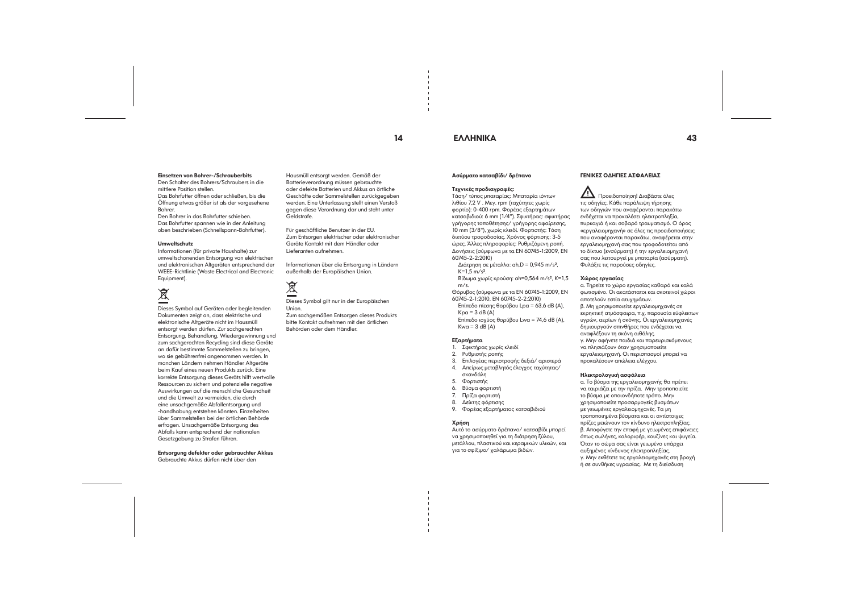## 14 ΕΛΛΗΝΙΚΑ 43

#### Einsetzen von Bohrer-/Schrauberbits Den Schalter des Bohrers/Schraubers in die

mittlere Position stellen.

Das Bohrfutter öffnen oder schließen, bis die Öffnung etwas größer ist als der vorgesehene Bohrer. Den Bohrer in das Bohrfutter schieben.

Das Bohrfutter spannen wie in der Anleitung oben beschrieben (Schnellspann-Bohrfutter).

#### Umweltschutz

Informationen (für private Haushalte) zur umweltschonenden Entsorgung von elektrischen und elektronischen Altgeräten entsprechend der WEEE-Richtlinie (Waste Electrical and Electronic Equipment).

# 这

Dieses Symbol auf Geräten oder begleitenden Dokumenten zeigt an, dass elektrische und elektronische Altgeräte nicht im Hausmüll entsorgt werden dürfen. Zur sachgerechten Entsorgung, Behandlung, Wiedergewinnung und zum sachgerechten Recycling sind diese Geräte an dafür bestimmte Sammelstellen zu bringen, wo sie gebührenfrei angenommen werden. In manchen Ländern nehmen Händler Altgeräte beim Kauf eines neuen Produkts zurück. Eine korrekte Entsorgung dieses Geräts hilft wertvolle Ressourcen zu sichern und potenzielle negative Auswirkungen auf die menschliche Gesundheit und die Umwelt zu vermeiden, die durch eine unsachgemäße Abfallentsorgung und -handhabung entstehen könnten. Einzelheiten über Sammelstellen bei der örtlichen Behörde erfragen. Unsachgemäße Entsorgung des Abfalls kann entsprechend der nationalen Gesetzgebung zu Strafen führen.

Διάτρηση σε μέταλλο: ah,D = 0,945 m/s²,  $K=1.5$  m/s<sup>2</sup>.

Επίπεδο πίεσης θορύβου Lpa = 63,6 dB (A),  $Kpa = 3 dB (A)$ 

Επίπεδο ισχύος θορύβου Lwa = 74,6 dB (A),  $Kwa = 3 dB (A)$ 

Entsorgung defekter oder gebrauchter Akkus Gebrauchte Akkus dürfen nicht über den

Hausmüll entsorgt werden. Gemäß der Batterieverordnung müssen gebrauchte oder defekte Batterien und Akkus an örtliche Geschäfte oder Sammelstellen zurückgegeben werden. Eine Unterlassung stellt einen Verstoß gegen diese Verordnung dar und steht unter Geldstrafe.

Für geschäftliche Benutzer in der EU. Zum Entsorgen elektrischer oder elektronischer Geräte Kontakt mit dem Händler oder Lieferanten aufnehmen.

Informationen über die Entsorgung in Ländern außerhalb der Europäischen Union.

# 凰

Dieses Symbol gilt nur in der Europäischen Union.

Zum sachgemäßen Entsorgen dieses Produkts bitte Kontakt aufnehmen mit den örtlichen Behörden oder dem Händler.

#### Ασύρματο κατσαβίδι/ δρέπανο

#### Τεχνικές προδιαγραφές:

Τάση/ τύπος μπαταρίας: Μπαταρία ιόντων λιθίου 7,2 V . Μεγ. rpm (ταχύτητες χωρίς φορτίο): 0-400 rpm. Φορέας εξαρτημάτων κατσαβιδιού: 6 mm (1/4"). Σφικτήρας: σφικτήρας γρήγορης τοποθέτησης/ γρήγορης αφαίρεσης, 10 mm (3/8"), χωρίς κλειδί. Φορτιστής: Τάση δικτύου τροφοδοσίας. Χρόνος φόρτισης: 3-5 ώρες. Άλλες πληροφορίες: Ρυθμιζόμενη ροπή. Δονήσεις (σύμφωνα με τα EN 60745-1:2009, EN 60745-2-2:2010)

Βίδωμα χωρίς κρούση: ah=0,564 m/s², K=1,5 m/s.

Θόρυβος (σύμφωνα με τα EN 60745-1:2009, EN 60745-2-1:2010, EN 60745-2-2:2010)

#### Εξαρτήματα

1. Σφικτήρας χωρίς κλειδί

- 2. Ρυθμιστής ροπής
- 3. Επιλογέας περιστροφής δεξιά/ αριστερά
- 4. Απείρως μεταβλητός έλεγχος ταχύτητας/ σκανδάλη
- 5. Φορτιστής
- 6. Βύσμα φορτιστή
- 7. Πρίζα φορτιστή
- 8. Δείκτης φόρτισης
- 9. Φορέας εξαρτήματος κατσαβιδιού

#### Χρήση

Αυτό το ασύρματο δρέπανο/ κατσαβίδι μπορεί να χρησιμοποιηθεί για τη διάτρηση ξύλου, μετάλλου, πλαστικού και κεραμικών υλικών, και για το σφίξιμο/ χαλάρωμα βιδών.

### ΓΕΝΙΚΕΣ ΟΔΗΓΙΕΣ ΑΣΦΑΛΕΙΑΣ

 Προειδοποίηση! Διαβάστε όλες τις οδηγίες. Κάθε παράλειψη τήρησης των οδηγιών που αναφέρονται παρακάτω ενδέχεται να προκαλέσει ηλεκτροπληξία, πυρκαγιά ή και σοβαρό τραυματισμό. Ο όρος «εργαλειομηχανή» σε όλες τις προειδοποιήσεις που αναφέρονται παρακάτω, αναφέρεται στην εργαλειομηχανή σας που τροφοδοτείται από το δίκτυο (ενσύρματη) ή την εργαλειομηχανή σας που λειτουργεί με μπαταρία (ασύρματη). Φυλάξτε τις παρούσες οδηγίες.

#### Χώρος εργασίας

α. Τηρείτε το χώρο εργασίας καθαρό και καλά φωτισμένο. Οι ακατάστατοι και σκοτεινοί χώροι αποτελούν εστία ατυχημάτων. β. Μη χρησιμοποιείτε εργαλειομηχανές σε εκρηκτική ατμόσφαιρα, π.χ. παρουσία εύφλεκτων υγρών, αερίων ή σκόνης. Οι εργαλειομηχανές δημιουργούν σπινθήρες που ενδέχεται να αναφλέξουν τη σκόνη αιθάλης. γ. Μην αφήνετε παιδιά και παρευρισκόμενους να πλησιάζουν όταν χρησιμοποιείτε εργαλειομηχανή. Οι περισπασμοί μπορεί να προκαλέσουν απώλεια ελέγχου.

#### Ηλεκτρολογική ασφάλεια

α. Το βύσμα της εργαλειομηχανής θα πρέπει να ταιριάζει με την πρίζα. Μην τροποποιείτε το βύσμα με οποιονδήποτε τρόπο. Μην χρησιμοποιείτε προσαρμογείς βυσμάτων με γειωμένες εργαλειομηχανές. Τα μη τροποποιημένα βύσματα και οι αντίστοιχες πρίζες μειώνουν τον κίνδυνο ηλεκτροπληξίας. β. Αποφύγετε την επαφή με γειωμένες επιφάνειες όπως σωλήνες, καλοριφέρ, κουζίνες και ψυγεία. Όταν το σώμα σας είναι γειωμένο υπάρχει αυξημένος κίνδυνος ηλεκτροπληξίας. γ. Μην εκθέτετε τις εργαλειομηχανές στη βροχή ή σε συνθήκες υγρασίας. Με τη διείσδυση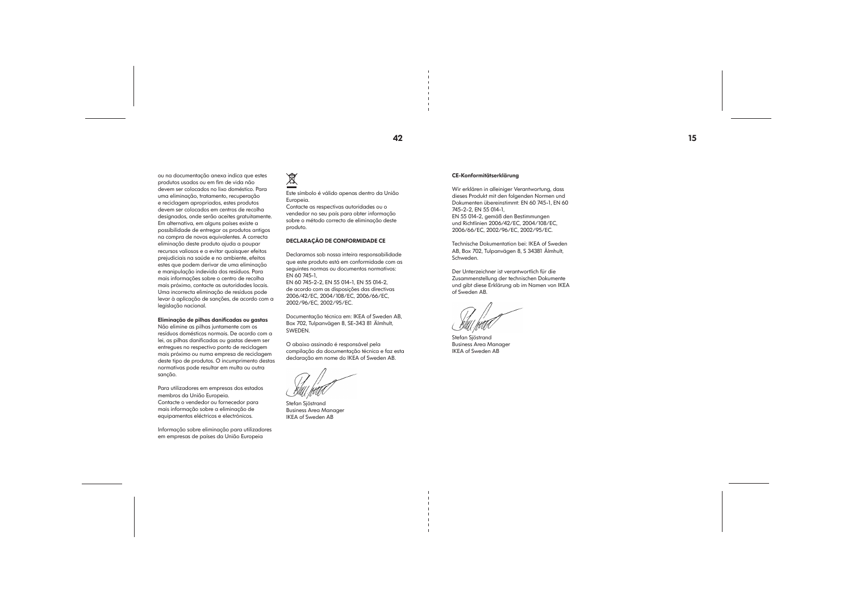

ou na documentação anexa indica que estes produtos usados ou em fim de vida não devem ser colocados no lixo doméstico. Para uma eliminação, tratamento, recuperação e reciclagem apropriados, estes produtos devem ser colocados em centros de recolha designados, onde serão aceites gratuitamente. Em alternativa, em alguns países existe a possibilidade de entregar os produtos antigos na compra de novos equivalentes. A correcta eliminação deste produto ajuda a poupar recursos valiosos e a evitar quaisquer efeitos prejudiciais na saúde e no ambiente, efeitos estes que podem derivar de uma eliminação e manipulação indevida dos resíduos. Para mais informações sobre o centro de recolha mais próximo, contacte as autoridades locais. Uma incorrecta eliminação de resíduos pode levar à aplicação de sanções, de acordo com a legislação nacional.

#### Eliminação de pilhas danificadas ou gastas

Não elimine as pilhas juntamente com os resíduos domésticos normais. De acordo com a lei, as pilhas danificadas ou gastas devem ser entregues no respectivo ponto de reciclagem mais próximo ou numa empresa de reciclagem deste tipo de produtos. O incumprimento destas normativas pode resultar em multa ou outra sanção.

Para utilizadores em empresas dos estados membros da União Europeia. Contacte o vendedor ou fornecedor para mais informação sobre a eliminação de equipamentos eléctricos e electrónicos.

Informação sobre eliminação para utilizadores em empresas de países da União Europeia

# $\overline{\mathbb{X}}$

Este símbolo é válido apenas dentro da União Europeia.

Contacte as respectivas autoridades ou o vendedor no seu país para obter informação sobre o método correcto de eliminação deste produto.

#### DECLARAÇÃO DE CONFORMIDADE CE

Declaramos sob nossa inteira responsabilidade que este produto está em conformidade com as seguintes normas ou documentos normativos: EN 60 745-1,

EN 60 745-2-2, EN 55 014-1, EN 55 014-2, de acordo com as disposições das directivas 2006/42/EC, 2004/108/EC, 2006/66/EC, 2002/96/EC, 2002/95/EC.

Documentação técnica em: IKEA of Sweden AB, Box 702, Tulpanvägen 8, SE-343 81 Älmhult, SWEDEN.

O abaixo assinado é responsável pela compilação da documentação técnica e faz esta declaração em nome do IKEA of Sweden AB.

Stefan Sjöstrand Business Area Manager IKEA of Sweden AB

## CE-Konformitätserklärung

Wir erklären in alleiniger Verantwortung, dass dieses Produkt mit den folgenden Normen und Dokumenten übereinstimmt: EN 60 745-1, EN 60 745-2-2, EN 55 014-1, EN 55 014-2, gemäß den Bestimmungen

und Richtlinien 2006/42/EC, 2004/108/EC, 2006/66/EC, 2002/96/EC, 2002/95/EC.

Technische Dokumentation bei: IKEA of Sweden AB, Box 702, Tulpanvägen 8, S 34381 Älmhult, Schweden.

Der Unterzeichner ist verantwortlich für die Zusammenstellung der technischen Dokumente und gibt diese Erklärung ab im Namen von IKEA of Sweden AB.

Stefan Sjöstrand Business Area Manager IKEA of Sweden AB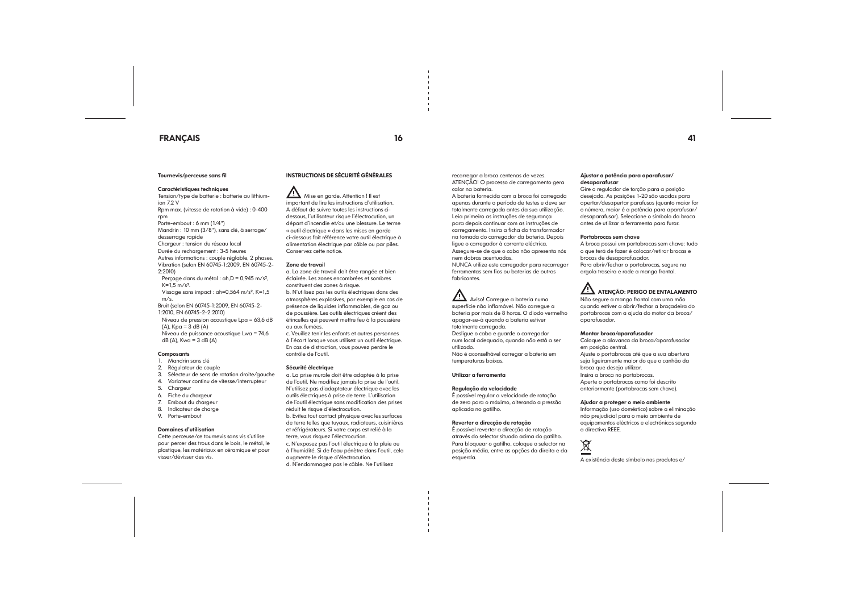## FRANÇAIS 16 41

#### Tournevis/perceuse sans fil

#### Caractéristiques techniques

1:2010, EN 60745-2-2:2010) Niveau de pression acoustique Lpa = 63,6 dB  $(A)$ ,  $Kpa = 3 dB (A)$ 

Tension/type de batterie : batterie au lithiumion 7,2 V Rpm max. (vitesse de rotation à vide) : 0-400 rpm Porte-embout : 6 mm (1/4") Mandrin : 10 mm (3/8"), sans clé, à serrage/ desserrage rapide Chargeur : tension du réseau local Durée du rechargement : 3-5 heures Autres informations : couple réglable, 2 phases. Vibration (selon EN 60745-1:2009, EN 60745-2- 2:2010) Perçage dans du métal : ah,D = 0,945 m/s²,  $K=1.5$  m/s<sup>2</sup>. Vissage sans impact : ah=0,564 m/s², K=1,5 m/s. Bruit (selon EN 60745-1:2009, EN 60745-2-

Niveau de puissance acoustique Lwa = 74,6  $dB(A)$ , Kwa = 3 dB $(A)$ 

#### **Composants**

AIN Mise en garde. Attention ! Il est important de lire les instructions d'utilisation. A défaut de suivre toutes les instructions cidessous, l'utilisateur risque l'électrocution, un départ d'incendie et/ou une blessure. Le terme « outil électrique » dans les mises en garde ci-dessous fait référence votre outil électrique à alimentation électrique par câble ou par piles. Conservez cette notice.

- 1. Mandrin sans clé
- 2. Régulateur de couple
- 3. Sélecteur de sens de rotation droite/gauche
- 4. Variateur continu de vitesse/interrupteur
- 5. Chargeur
- 6. Fiche du chargeur
- 7. Embout du chargeur
- 8. Indicateur de charge
- 9. Porte-embout

#### Domaines d'utilisation

Cette perceuse/ce tournevis sans vis s'utilise pour percer des trous dans le bois, le métal, le plastique, les matériaux en céramique et pour visser/dévisser des vis.

#### INSTRUCTIONS DE SÉCURITÉ GÉNÉRALES

#### Zone de travail

a. La zone de travail doit être rangée et bien éclairée. Les zones encombrées et sombres constituent des zones à risque. b. N'utilisez pas les outils électriques dans des atmosphères explosives, par exemple en cas de présence de liquides inflammables, de gaz ou de poussière. Les outils électriques créent des étincelles qui peuvent mettre feu à la poussière ou aux fumées.

c. Veuillez tenir les enfants et autres personnes à l'écart lorsque vous utilisez un outil électrique. En cas de distraction, vous pouvez perdre le contrôle de l'outil.

#### Sécurité électrique

a. La prise murale doit être adaptée à la prise de l'outil. Ne modifiez jamais la prise de l'outil. N'utilisez pas d'adaptateur électrique avec les outils électriques à prise de terre. L'utilisation de l'outil électrique sans modification des prises réduit le risque d'électrocution.

b. Evitez tout contact physique avec les surfaces de terre telles que tuyaux, radiateurs, cuisinières et réfrigérateurs. Si votre corps est relié à la terre, vous risquez l'électrocution.

c. N'exposez pas l'outil électrique à la pluie ou à l'humidité. Si de l'eau pénètre dans l'outil, cela augmente le risque d'électrocution.

d. N'endommagez pas le câble. Ne l'utilisez

recarregar a broca centenas de vezes. ATENÇÃO! O processo de carregamento gera calor na bateria.

A bateria fornecida com a broca foi carregada apenas durante o período de testes e deve ser totalmente carregada antes da sua utilização. Leia primeiro as instruções de segurança para depois continuar com as instruções de carregamento. Insira a ficha do transformador na tomada do carregador da bateria. Depois ligue o carregador à corrente eléctrica. Assegure-se de que o cabo não apresenta nós

nem dobras acentuadas. NUNCA utilize este carregador para recarregar

ferramentas sem fios ou baterias de outros fabricantes.

# Aviso! Carregue a bateria numa

superfície não inflamável. Não carregue a bateria por mais de 8 horas. O diodo vermelho apagar-se-à quando a bateria estiver totalmente carregada.

Desligue o cabo e guarde o carregador num local adequado, quando não está a ser utilizado.

Não é aconselhável carregar a bateria em temperaturas baixas.

Utilizar a ferramenta

#### Regulação da velocidade

É possível regular a velocidade de rotação de zero para o máximo, alterando a pressão aplicada no gatilho.

#### Reverter a direcção de rotação

É possível reverter a direcção de rotação através do selector situado acima do gatilho. Para bloquear o gatilho, coloque o selector na posição média, entre as opções da direita e da esquerda.

Ajustar a potência para aparafusar/ desaparafusar

Gire o regulador de torção para a posição desejada. As posições 1-20 são usadas para apertar/desapertar parafusos (quanto maior for o número, maior é a potência para aparafusar/ desaparafusar). Seleccione o símbolo da broca antes de utilizar a ferramenta para furar.

#### Portabrocas sem chave

A broca possui um portabrocas sem chave: tudo

o que terá de fazer é colocar/retirar brocas e brocas de desaparafusador. Para abrir/fechar o portabrocas, segure na argola traseira e rode a manga frontal.

## $\angle$ <sup>1</sup>. ATENÇÃO: PERIGO DE ENTALAMENTO

Não segure a manga frontal com uma mão quando estiver a abrir/fechar a braçadeira do portabrocas com a ajuda do motor da broca/ aparafusador.

#### Montar broca/aparafusador

Coloque a alavanca da broca/aparafusador em posição central. Ajuste o portabrocas até que a sua abertura seja ligeiramente maior do que o canhão da broca que deseja utilizar. Insira a broca no portabrocas. Aperte o portabrocas como foi descrito anteriormente (portabrocas sem chave).

Ajudar a proteger o meio ambiente Informação (uso doméstico) sobre a eliminação não prejudicial para o meio ambiente de equipamentos eléctricos e electrónicos segundo a directiva REEE.

这

A existência deste símbolo nos produtos e/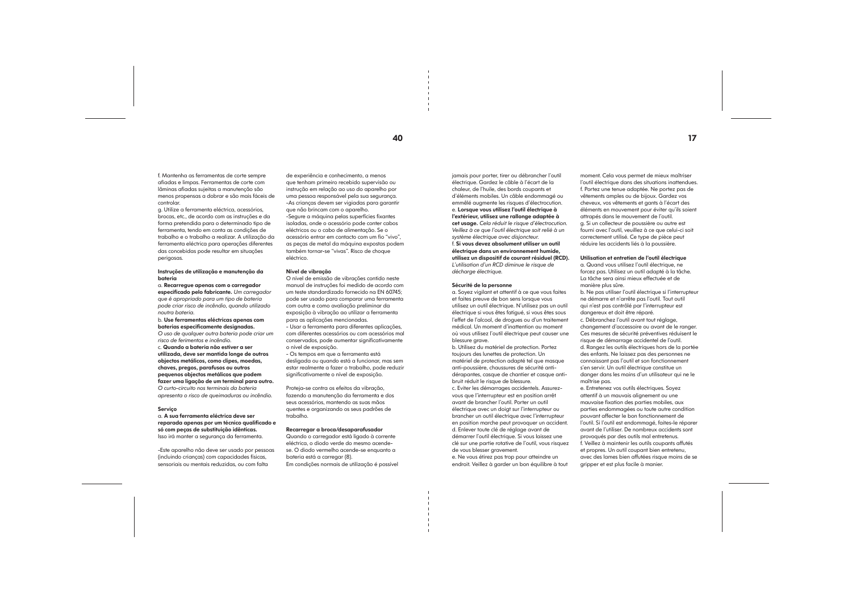f. Mantenha as ferramentas de corte sempre afiadas e limpas. Ferramentas de corte com lâminas afiadas sujeitas a manutenção são menos propensas a dobrar e são mais fáceis de controlar.

g. Utilize a ferramenta eléctrica, acessórios, brocas, etc., de acordo com as instruções e da forma pretendida para o determinado tipo de ferramenta, tendo em conta as condições de trabalho e o trabalho a realizar. A utilização da ferramenta eléctrica para operações diferentes das concebidas pode resultar em situações perigosas.

#### Instruções de utilização e manutenção da bateria

a. Recarregue apenas com o carregador especificado pelo fabricante. *Um carregador que é apropriado para um tipo de bateria pode criar risco de incêndio, quando utilizado noutra bateria.*

b. Use ferramentas eléctricas apenas com baterias especificamente designadas.

*O uso de qualquer outra bateria pode criar um risco de ferimentos e incêndio.*

c. Quando a bateria não estiver a ser utilizada, deve ser mantida longe de outros objectos metálicos, como clipes, moedas, chaves, pregos, parafusos ou outros pequenos objectos metálicos que podem fazer uma ligação de um terminal para outro. *O curto-circuito nos terminais da bateria apresenta o risco de queimaduras ou incêndio.*

#### Serviço

a. A sua ferramenta eléctrica deve ser reparada apenas por um técnico qualificado e só com peças de substituição idênticas. Isso irá manter a segurança da ferramenta.

-Este aparelho não deve ser usado por pessoas (incluindo crianças) com capacidades físicas, sensoriais ou mentais reduzidas, ou com falta

de experiência e conhecimento, a menos que tenham primeiro recebido supervisão ou instrução em relação ao uso do aparelho por uma pessoa responsável pela sua segurança. -As crianças devem ser vigiadas para garantir que não brincam com o aparelho. -Segure a máquina pelas superfícies fixantes

> a. Soyez vigilant et attentif à ce que vous faites et faites preuve de bon sens lorsque vous utilisez un outil électrique. N'utilisez pas un outil électrique si vous êtes fatigué, si vous êtes sous l'effet de l'alcool, de drogues ou d'un traitement médical. Un moment d'inattention au moment où vous utilisez l'outil électrique peut causer une blessure grave.

isoladas, onde o acessório pode conter cabos eléctricos ou o cabo de alimentação. Se o acessório entrar em contacto com um fio "vivo", as peças de metal da máquina expostas podem também tornar-se "vivas". Risco de choque eléctrico.

#### Nível de vibração

b. Utilisez du matériel de protection. Portez toujours des lunettes de protection. Un matériel de protection adapté tel que masque anti-poussière, chaussures de sécurité antidérapantes, casque de chantier et casque antibruit réduit le risque de blessure. c. Eviter les démarrages accidentels. Assurezvous que l'interrupteur est en position arrêt avant de brancher l'outil. Porter un outil électrique avec un doigt sur l'interrupteur ou brancher un outil électrique avec l'interrupteur en position marche peut provoquer un accident. d. Enlever toute clé de réglage avant de démarrer l'outil électrique. Si vous laissez une clé sur une partie rotative de l'outil, vous risquez de vous blesser aravement.

O nível de emissão de vibrações contido neste manual de instruções foi medido de acordo com um teste standardizado fornecido na EN 60745; pode ser usado para comparar uma ferramenta com outra e como avaliação preliminar da exposição à vibração ao utilizar a ferramenta para as aplicações mencionadas. - Usar a ferramenta para diferentes aplicações,

com diferentes acessórios ou com acessórios mal conservados, pode aumentar significativamente o nível de exposição.

- Os tempos em que a ferramenta está desligada ou quando está a funcionar, mas sem estar realmente a fazer o trabalho, pode reduzir significativamente o nível de exposição.

Proteja-se contra os efeitos da vibração, fazendo a manutenção da ferramenta e dos seus acessórios, mantendo as suas mãos quentes e organizando os seus padrões de trabalho.

#### Recarregar a broca/desaparafusador

Quando o carregador está ligado à corrente eléctrica, o diodo verde do mesmo acendese. O diodo vermelho acende-se enquanto a bateria está a carregar (8). Em condições normais de utilização é possível jamais pour porter, tirer ou débrancher l'outil électrique. Gardez le câble à l'écart de la chaleur, de l'huile, des bords coupants et d'éléments mobiles. Un câble endommagé ou emmêlé augmente les risques d'électrocution. e. Lorsque vous utilisez l'outil électrique à l'extérieur, utilisez une rallonge adaptée à cet usage. *Cela réduit le risque d'électrocution. Veillez à ce que l'outil électrique soit relié à un système électrique avec disjoncteur.* f. Si vous devez absolument utiliser un outil électrique dans un environnement humide, utilisez un dispositif de courant résiduel (RCD). *L'utilisation d'un RCD diminue le risque de décharge électrique.*

#### Sécurité de la personne

e. Ne vous étirez pas trop pour atteindre un endroit. Veillez à garder un bon équilibre à tout moment. Cela vous permet de mieux maîtriser l'outil électrique dans des situations inattendues. f. Portez une tenue adaptée. Ne portez pas de vêtements amples ou de bijoux. Gardez vos cheveux, vos vêtements et gants à l'écart des éléments en mouvement pour éviter qu'ils soient attrapés dans le mouvement de l'outil. g. Si un collecteur de poussière ou autre est fourni avec l'outil, veuillez à ce que celui-ci soit correctement utilisé. Ce type de pièce peut réduire les accidents liés à la poussière.

#### Utilisation et entretien de l'outil électrique

a. Quand vous utilisez l'outil électrique, ne forcez pas. Utilisez un outil adapté à la tâche. La tâche sera ainsi mieux effectuée et de manière plus sûre.

b. Ne pas utiliser l'outil électrique si l'interrupteur ne démarre et n'arrête pas l'outil. Tout outil qui n'est pas contrôlé par l'interrupteur est dangereux et doit être réparé. c. Débranchez l'outil avant tout réglage, changement d'accessoire ou avant de le ranger. Ces mesures de sécurité préventives réduisent le risque de démarrage accidentel de l'outil. d. Rangez les outils électriques hors de la portée des enfants. Ne laissez pas des personnes ne connaissant pas l'outil et son fonctionnement s'en servir. Un outil électrique constitue un danger dans les mains d'un utilisateur qui ne le maîtrise pas.

e. Entretenez vos outils électriques. Soyez attentif à un mauvais alignement ou une mauvaise fixation des parties mobiles, aux parties endommagées ou toute autre condition pouvant affecter le bon fonctionnement de l'outil. Si l'outil est endommagé, faites-le réparer avant de l'utiliser. De nombreux accidents sont provoqués par des outils mal entretenus. f. Veillez à maintenir les outils coupants affutés et propres. Un outil coupant bien entretenu, avec des lames bien affutées risque moins de se gripper et est plus facile à manier.

40 and 17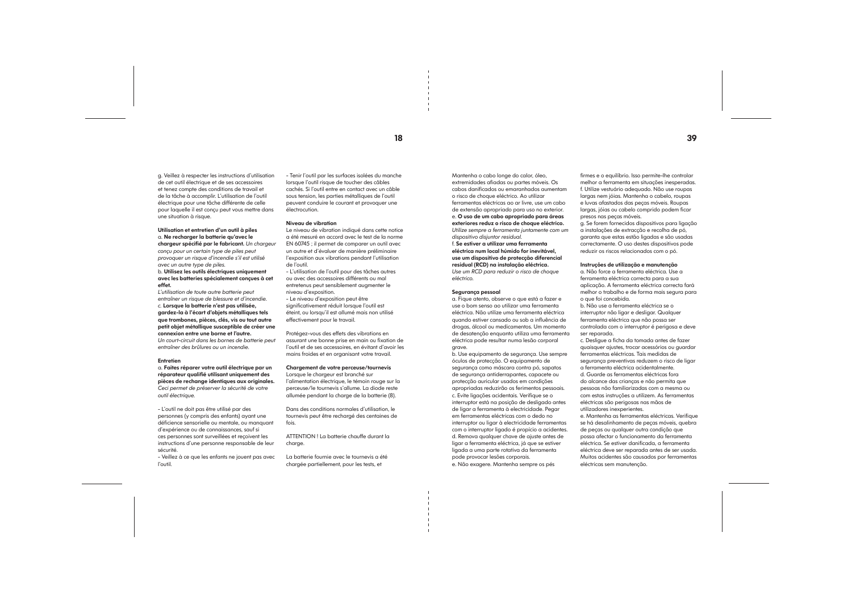18 39

g. Veillez à respecter les instructions d'utilisation de cet outil électrique et de ses accessoires et tenez compte des conditions de travail et de la tâche à accomplir. L'utilisation de l'outil électrique pour une tâche différente de celle pour laquelle il est conçu peut vous mettre dans une situation à risque.

#### Utilisation et entretien d'un outil à piles a. Ne recharger la batterie qu'avec le chargeur spécifié par le fabricant. *Un chargeur conçu pour un certain type de piles peut provoquer un risque d'incendie s'il est utilisé avec un autre type de piles.*

b. Utilisez les outils électriques uniquement avec les batteries spécialement conçues à cet effet. *L'utilisation de toute autre batterie peut* 

*entraîner un risque de blessure et d'incendie. c.* Lorsque la batterie n'est pas utilisée, gardez-la à l'écart d'objets métalliques tels que trombones, pièces, clés, vis ou tout autre petit objet métallique susceptible de créer une connexion entre une borne et l'autre. *Un court-circuit dans les bornes de batterie peut entraîner des brûlures ou un incendie.*

#### **Entretien**

a. Faites réparer votre outil électrique par un réparateur qualifié utilisant uniquement des pièces de rechange identiques aux originales. *Ceci permet de préserver la sécurité de votre outil électrique.*

- L'outil ne doit pas être utilisé par des personnes (y compris des enfants) ayant une déficience sensorielle ou mentale, ou manquant d'expérience ou de connaissances, sauf si ces personnes sont surveillées et reçoivent les instructions d'une personne responsable de leur sécurité.

- Veillez à ce que les enfants ne jouent pas avec l'outil.

- Tenir l'outil par les surfaces isolées du manche lorsque l'outil risque de toucher des câbles cachés. Si l'outil entre en contact avec un câble sous tension, les parties métalliques de l'outil peuvent conduire le courant et provoquer une électrocution.

#### Niveau de vibration

Le niveau de vibration indiqué dans cette notice a été mesuré en accord avec le test de la norme EN 60745 ; il permet de comparer un outil avec un autre et d'évaluer de manière préliminaire l'exposition aux vibrations pendant l'utilisation de l'outil.

- L'utilisation de l'outil pour des tâches autres ou avec des accessoires différents ou mal entretenus peut sensiblement augmenter le niveau d'exposition.

- Le niveau d'exposition peut être significativement réduit lorsque l'outil est éteint, ou lorsqu'il est allumé mais non utilisé effectivement pour le travail.

Protégez-vous des effets des vibrations en assurant une bonne prise en main ou fixation de l'outil et de ses accessoires, en évitant d'avoir les mains froides et en organisant votre travail.

#### Chargement de votre perceuse/tournevis

Lorsque le chargeur est branché sur l'alimentation électrique, le témoin rouge sur la perceuse/le tournevis s'allume. La diode reste allumée pendant la charge de la batterie (8).

Dans des conditions normales d'utilisation, le tournevis peut être rechargé des centaines de fois.

ATTENTION ! La batterie chauffe durant la charge.

La batterie fournie avec le tournevis a été chargée partiellement, pour les tests, et

Mantenha o cabo longe do calor, óleo, extremidades afiadas ou partes móveis. Os cabos danificados ou emaranhados aumentam o risco de choque eléctrico. Ao utilizar ferramentas eléctricas ao ar livre, use um cabo de extensão apropriado para uso no exterior. e. O uso de um cabo apropriado para áreas exteriores reduz o risco de choque eléctrico. *Utilize sempre a ferramenta juntamente com um dispositivo disjuntor residual.*

f. Se estiver a utilizar uma ferramenta eléctrica num local húmido for inevitável, use um dispositivo de protecção diferencial residual (RCD) na instalação eléctrica. *Use um RCD para reduzir o risco de choque eléctrico.*

#### Segurança pessoal

a. Fique atento, observe o que está a fazer e use o bom senso ao utilizar uma ferramenta eléctrica. Não utilize uma ferramenta eléctrica quando estiver cansado ou sob a influência de drogas, álcool ou medicamentos. Um momento de desatenção enquanto utiliza uma ferramenta eléctrica pode resultar numa lesão corporal grave.

b. Use equipamento de segurança. Use sempre óculos de protecção. O equipamento de segurança como máscara contra pó, sapatos de segurança antiderrapantes, capacete ou protecção auricular usados em condições apropriadas reduzirão os ferimentos pessoais. c. Evite ligações acidentais. Verifique se o interruptor está na posição de desligado antes de ligar a ferramenta à electricidade. Pegar em ferramentas eléctricas com o dedo no interruptor ou ligar à electricidade ferramentas com o interruptor ligado é propício a acidentes. d. Remova qualquer chave de ajuste antes de ligar a ferramenta eléctrica, já que se estiver ligada a uma parte rotativa da ferramenta pode provocar lesões corporais. e. Não exagere. Mantenha sempre os pés

firmes e o equilíbrio. Isso permite-lhe controlar melhor a ferramenta em situações inesperadas. f. Utilize vestuário adequado. Não use roupas largas nem jóias. Mantenha o cabelo, roupas e luvas afastados das peças móveis. Roupas largas, jóias ou cabelo comprido podem ficar presos nas peças móveis. g. Se forem fornecidos dispositivos para ligação a instalações de extracção e recolha de pó, garanta que estas estão ligadas e são usadas correctamente. O uso destes dispositivos pode reduzir os riscos relacionados com o pó.

Instruções de utilização e manutenção a. Não force a ferramenta eléctrica. Use a ferramenta eléctrica correcta para a sua aplicação. A ferramenta eléctrica correcta fará melhor o trabalho e de forma mais segura para o que foi concebida.

b. Não use a ferramenta eléctrica se o interruptor não ligar e desligar. Qualquer ferramenta eléctrica que não possa ser controlada com o interruptor é perigosa e deve ser reparada.

c. Desligue a ficha da tomada antes de fazer quaisquer ajustes, trocar acessórios ou guardar ferramentas eléctricas. Tais medidas de segurança preventivas reduzem o risco de ligar a ferramenta eléctrica acidentalmente. d. Guarde as ferramentas eléctricas fora do alcance das crianças e não permita que pessoas não familiarizadas com a mesma ou com estas instruções a utilizem. As ferramentas eléctricas são perigosas nas mãos de utilizadores inexperientes. e. Mantenha as ferramentas eléctricas. Verifique se há desalinhamento de peças móveis, quebra de peças ou qualquer outra condição que possa afectar o funcionamento da ferramenta eléctrica. Se estiver danificada, a ferramenta eléctrica deve ser reparada antes de ser usada. Muitos acidentes são causados por ferramentas eléctricas sem manutenção.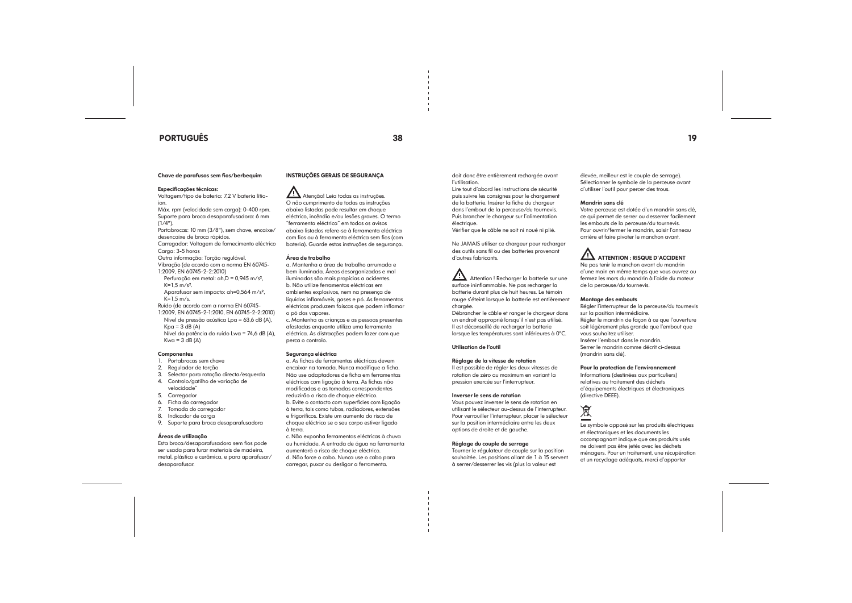## PORTUGUÊS 38 19

Chave de parafusos sem fios/berbequim

#### Especificações técnicas:

Voltagem/tipo de bateria: 7,2 V bateria lítioion. Máx. rpm (velocidade sem carga): 0-400 rpm. Suporte para broca desaparafusadora: 6 mm

 $(1/4")$ . Portabrocas: 10 mm (3/8"), sem chave, encaixe/ desencaixe de broca rápidos.

1:2009, EN 60745-2-1:2010, EN 60745-2-2:2010) Nível de pressão acústica Lpa = 63,6 dB (A),  $Kpa = 3 dB (A)$ 

Carregador: Voltagem de fornecimento eléctrico

Carga: 3-5 horas

Nível da potência do ruído Lwa = 74,6 dB (A),  $Kwa = 3 dB (A)$ 

#### **Componentes**

Outra informação: Torção regulável. Vibração (de acordo com a norma EN 60745-

1:2009, EN 60745-2-2:2010)

Perfuração em metal: ah,D = 0,945 m/s²,  $K=1.5$  m/s<sup>2</sup>. Aparafusar sem impacto: ah=0,564 m/s²,

K=1,5 m/s. Ruído (de acordo com a norma EN 60745-

Atenção! Leia todas as instruções. O não cumprimento de todas as instruções abaixo listadas pode resultar em choque eléctrico, incêndio e/ou lesões graves. O termo "ferramenta eléctrica" em todos os avisos abaixo listados refere-se à ferramenta eléctrica com fios ou à ferramenta eléctrica sem fios (com bateria). Guarde estas instruções de segurança.

- 1. Portabrocas sem chave
- 2. Regulador de torção
- 3. Selector para rotação directa/esquerda 4. Controlo/gatilho de variação de
- velocidade"
- 5. Carregador
- 6. Ficha do carregador
- 7. Tomada do carregador
- 8. Indicador de carga
- 9. Suporte para broca desaparafusadora

#### Áreas de utilização

Esta broca/desaparafusadora sem fios pode ser usada para furar materiais de madeira, metal, plástico e cerâmica, e para aparafusar/ desaparafusar.

#### INSTRUÇÕES GERAIS DE SEGURANÇA

#### Área de trabalho

**Attention** ! Recharger la batterie sur une surface ininflammable. Ne pas recharger la batterie durant plus de huit heures. Le témoin rouge s'éteint lorsque la batterie est entièrement chargée.

a. Mantenha a área de trabalho arrumada e bem iluminada. Áreas desorganizadas e mal iluminadas são mais propícias a acidentes. b. Não utilize ferramentas eléctricas em ambientes explosivos, nem na presença de líquidos inflamáveis, gases e pó. As ferramentas eléctricas produzem faíscas que podem inflamar o pó dos vapores.

c. Mantenha as crianças e as pessoas presentes afastadas enquanto utiliza uma ferramenta eléctrica. As distracções podem fazer com que perca o controlo.

#### Segurança eléctrica

a. As fichas de ferramentas eléctricas devem encaixar na tomada. Nunca modifique a ficha. Não use adaptadores de ficha em ferramentas eléctricas com ligação à terra. As fichas não modificadas e as tomadas correspondentes reduzirão o risco de choque eléctrico. b. Evite o contacto com superfícies com ligação à terra, tais como tubos, radiadores, extensões e frigoríficos. Existe um aumento do risco de choque eléctrico se o seu corpo estiver ligado à terra.

c. Não exponha ferramentas eléctricas à chuva ou humidade. A entrada de água na ferramenta aumentará o risco de choque eléctrico. d. Não force o cabo. Nunca use o cabo para carregar, puxar ou desligar a ferramenta.

doit donc être entièrement rechargée avant l'utilisation.

Lire tout d'abord les instructions de sécurité puis suivre les consignes pour le chargement de la batterie. Insérer la fiche du chargeur dans l'embout de la perceuse/du tournevis. Puis brancher le chargeur sur l'alimentation électrique.

Vérifier que le câble ne soit ni noué ni plié.

Ne JAMAIS utiliser ce chargeur pour recharger des outils sans fil ou des batteries provenant d'autres fabricants.

Débrancher le câble et ranger le chargeur dans un endroit approprié lorsqu'il n'est pas utilisé. Il est déconseillé de recharger la batterie lorsque les températures sont inférieures à 0ºC.

Utilisation de l'outil

#### Réglage de la vitesse de rotation

Il est possible de régler les deux vitesses de rotation de zéro au maximum en variant la pression exercée sur l'interrupteur.

#### Inverser le sens de rotation

Vous pouvez inverser le sens de rotation en utilisant le sélecteur au-dessus de l'interrupteur. Pour verrouiller l'interrupteur, placer le sélecteur sur la position intermédiaire entre les deux options de droite et de gauche.

#### Réglage du couple de serrage

Tourner le régulateur de couple sur la position souhaitée. Les positions allant de 1 à 15 servent à serrer/desserrer les vis (plus la valeur est

élevée, meilleur est le couple de serrage). Sélectionner le symbole de la perceuse avant d'utiliser l'outil pour percer des trous.

#### Mandrin sans clé

Votre perceuse est dotée d'un mandrin sans clé, ce qui permet de serrer ou desserrer facilement les embouts de la perceuse/du tournevis. Pour ouvrir/fermer le mandrin, saisir l'anneau

## $\angle$ ! ATTENTION : RISQUE D'ACCIDENT

arrière et faire pivoter le manchon avant.

Ne pas tenir le manchon avant du mandrin d'une main en même temps que vous ouvrez ou fermez les mors du mandrin à l'aide du moteur de la perceuse/du tournevis.

#### Montage des embouts

Régler l'interrupteur de la perceuse/du tournevis sur la position intermédiaire. Régler le mandrin de façon à ce que l'ouverture soit légèrement plus grande que l'embout que vous souhaitez utiliser. Insérer l'embout dans le mandrin. Serrer le mandrin comme décrit ci-dessus (mandrin sans clé).

Pour la protection de l'environnement Informations (destinées aux particuliers) relatives au traitement des déchets d'équipements électriques et électroniques (directive DEEE).

Le symbole apposé sur les produits électriques et électroniques et les documents les accompagnant indique que ces produits usés ne doivent pas être jetés avec les déchets ménagers. Pour un traitement, une récupération et un recyclage adéquats, merci d'apporter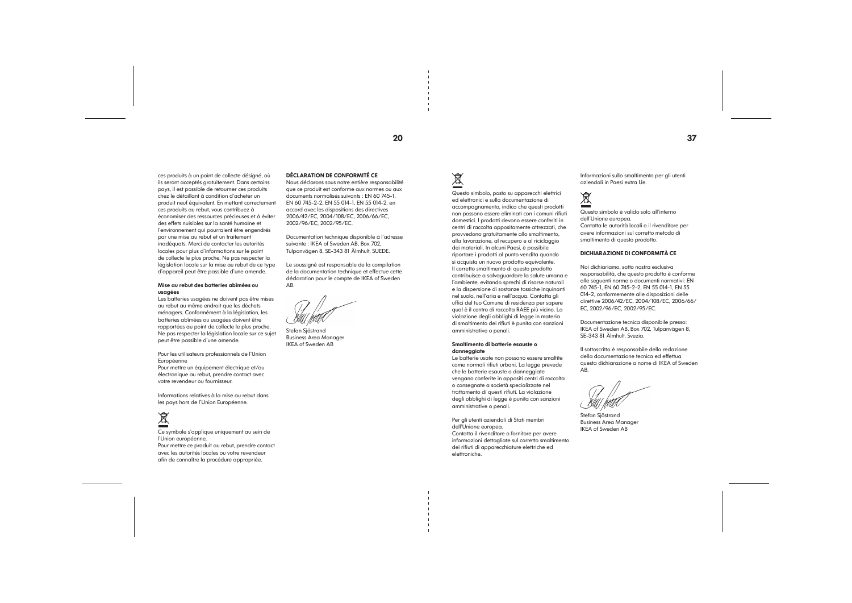ces produits à un point de collecte désigné, où ils seront acceptés gratuitement. Dans certains pays, il est possible de retourner ces produits chez le détaillant à condition d'acheter un produit neuf équivalent. En mettant correctement ces produits au rebut, vous contribuez à économiser des ressources précieuses et à éviter des effets nuisibles sur la santé humaine et l'environnement qui pourraient être engendrés par une mise au rebut et un traitement inadéquats. Merci de contacter les autorités locales pour plus d'informations sur le point de collecte le plus proche. Ne pas respecter la législation locale sur la mise au rebut de ce type d'appareil peut être passible d'une amende.

#### Mise au rebut des batteries abîmées ou usagées

Les batteries usagées ne doivent pas être mises au rebut au même endroit que les déchets ménagers. Conformément à la législation, les batteries abîmées ou usagées doivent être rapportées au point de collecte le plus proche. Ne pas respecter la législation locale sur ce sujet peut être passible d'une amende.

Pour les utilisateurs professionnels de l'Union Européenne

Pour mettre un équipement électrique et/ou électronique au rebut, prendre contact avec votre revendeur ou fournisseur.

Informations relatives à la mise au rebut dans les pays hors de l'Union Européenne.

# $\overline{\mathbb{X}}$

Ce symbole s'applique uniquement au sein de l'Union européenne. Pour mettre ce produit au rebut, prendre contact avec les autorités locales ou votre revendeur afin de connaître la procédure appropriée.

#### DÉCLARATION DE CONFORMITÉ CE

Nous déclarons sous notre entière responsabilité que ce produit est conforme aux normes ou aux documents normalisés suivants : EN 60 745-1, EN 60 745-2-2, EN 55 014-1, EN 55 014-2, en accord avec les dispositions des directives 2006/42/EC, 2004/108/EC, 2006/66/EC, 2002/96/EC, 2002/95/EC.

Documentation technique disponible à l'adresse suivante : IKEA of Sweden AB, Box 702, Tulpanvägen 8, SE-343 81 Älmhult, SUEDE.

Le soussigné est responsable de la compilation de la documentation technique et effectue cette déclaration pour le compte de IKEA of Sweden AB.

Stefan Sjöstrand Business Area Manager IKEA of Sweden AB

# $\overline{\mathbb{X}}$

Questo simbolo, posto su apparecchi elettrici ed elettronici e sulla documentazione di accompagnamento, indica che questi prodotti non possono essere eliminati con i comuni rifiuti domestici. I prodotti devono essere conferiti in centri di raccolta appositamente attrezzati, che provvedono gratuitamente allo smaltimento, alla lavorazione, al recupero e al riciclaggio dei materiali. In alcuni Paesi, è possibile riportare i prodotti al punto vendita quando si acquista un nuovo prodotto equivalente. Il corretto smaltimento di questo prodotto contribuisce a salvaguardare la salute umana e l'ambiente, evitando sprechi di risorse naturali e la dispersione di sostanze tossiche inquinanti nel suolo, nell'aria e nell'acqua. Contatta gli uffici del tuo Comune di residenza per sapere qual è il centro di raccolta RAEE più vicino. La violazione degli obblighi di legge in materia di smaltimento dei rifiuti è punita con sanzioni amministrative o penali.

#### Smaltimento di batterie esauste o danneggiate

Le batterie usate non possono essere smaltite come normali rifiuti urbani. La legge prevede che le batterie esauste o danneggiate vengano conferite in appositi centri di raccolta o consegnate a società specializzate nel trattamento di questi rifiuti. La violazione degli obblighi di legge è punita con sanzioni amministrative o penali.

Per gli utenti aziendali di Stati membri dell'Unione europea. Contatta il rivenditore o fornitore per avere informazioni dettagliate sul corretto smaltimento dei rifiuti di apparecchiature elettriche ed elettroniche.

Informazioni sullo smaltimento per gli utenti aziendali in Paesi extra Ue.

## 凰

Questo simbolo è valido solo all'interno dell'Unione europea. Contatta le autorità locali o il rivenditore per avere informazioni sul corretto metodo di smaltimento di questo prodotto.

#### DICHIARAZIONE DI CONFORMITÀ CE

Noi dichiariamo, sotto nostra esclusiva responsabilità, che questo prodotto è conforme alle seguenti norme o documenti normativi: EN 60 745-1, EN 60 745-2-2, EN 55 014-1, EN 55 014-2, conformemente alle disposizioni delle direttive 2006/42/EC, 2004/108/EC, 2006/66/ EC, 2002/96/EC, 2002/95/EC.

Documentazione tecnica disponibile presso: IKEA of Sweden AB, Box 702, Tulpanvägen 8, SE-343 81 Älmhult, Svezia.

Il sottoscritto è responsabile della redazione della documentazione tecnica ed effettua questa dichiarazione a nome di IKEA of Sweden AB.

Stefan Sjöstrand Business Area Manager IKEA of Sweden AB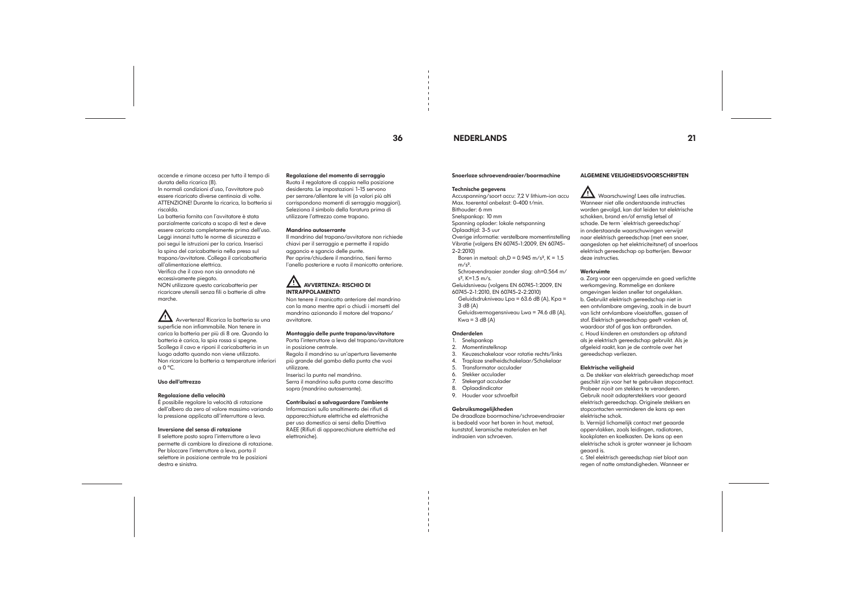## 36 NEDERLANDS 21

accende e rimane accesa per tutto il tempo di durata della ricarica (8). In normali condizioni d'uso, l'avvitatore può

essere ricaricato diverse centinaia di volte. ATTENZIONE! Durante la ricarica, la batteria si riscalda.

La batteria fornita con l'avvitatore è stata parzialmente caricata a scopo di test e deve essere caricata completamente prima dell'uso. Leggi innanzi tutto le norme di sicurezza e poi segui le istruzioni per la carica. Inserisci la spina del caricabatteria nella presa sul trapano/avvitatore. Collega il caricabatteria all'alimentazione elettrica. Verifica che il cavo non sia annodato né eccessivamente piegato. NON utilizzare questo caricabatteria per ricaricare utensili senza fili o batterie di altre marche.

 $\overline{\mathbf{A}}$  Avvertenza! Ricarica la batteria su una superficie non infiammabile. Non tenere in carica la batteria per più di 8 ore. Quando la batteria è carica, la spia rossa si spegne. Scollega il cavo e riponi il caricabatteria in un luogo adatto quando non viene utilizzato. Non ricaricare la batteria a temperature inferiori  $a \theta$  °C.

## $\overline{\Delta}$  AVVERTENZA: RISCHIO DI INTRAPPOLAMENTO

#### Uso dell'attrezzo

#### Regolazione della velocità

È possibile regolare la velocità di rotazione dell'albero da zero al valore massimo variando la pressione applicata all'interruttore a leva.

#### Inversione del senso di rotazione

Il selettore posto sopra l'interruttore a leva permette di cambiare la direzione di rotazione. Per bloccare l'interruttore a leva, porta il selettore in posizione centrale tra le posizioni destra e sinistra.

#### Regolazione del momento di serraggio

Ruota il regolatore di coppia nella posizione desiderata. Le impostazioni 1-15 servono per serrare/allentare le viti (a valori più alti corrispondono momenti di serraggio maggiori). Seleziona il simbolo della foratura prima di utilizzare l'attrezzo come trapano.

> Geluidsvermogensniveau Lwa = 74.6 dB (A),  $Kwa = 3 dB (A)$

#### Mandrino autoserrante

Il mandrino del trapano/avvitatore non richiede chiavi per il serraggio e permette il rapido aggancio e sgancio delle punte. Per aprire/chiudere il mandrino, tieni fermo l'anello posteriore e ruota il manicotto anteriore.

**11** Waarschuwing! Lees alle instructies. Wanneer niet alle onderstaande instructies worden gevolgd, kan dat leiden tot elektrische schokken, brand en/of ernstig letsel of schade. De term `elektrisch gereedschap' in onderstaande waarschuwingen verwijst naar elektrisch gereedschap (met een snoer, aangesloten op het elektriciteitsnet) of snoerloos elektrisch gereedschap op batterijen. Bewaar deze instructies. Werkruimte

Non tenere il manicotto anteriore del mandrino con la mano mentre apri o chiudi i morsetti del mandrino azionando il motore del trapano/ avvitatore.

#### Montaggio delle punte trapano/avvitatore

Porta l'interruttore a leva del trapano/avvitatore in posizione centrale. Regola il mandrino su un'apertura lievemente

più grande del gambo della punta che vuoi utilizzare.

Inserisci la punta nel mandrino. Serra il mandrino sulla punta come descritto sopra (mandrino autoserrante).

#### Contribuisci a salvaguardare l'ambiente

Informazioni sullo smaltimento dei rifiuti di apparecchiature elettriche ed elettroniche per uso domestico ai sensi della Direttiva RAEE (Rifiuti di apparecchiature elettriche ed elettroniche).

#### Snoerloze schroevendraaier/boormachine

#### Technische gegevens

Accuspanning/soort accu: 7,2 V lithium-ion accu Max. toerental onbelast: 0-400 t/min. Bithouder: 6 mm

#### Snelspankop: 10 mm

Spanning oplader: lokale netspanning

#### Oplaadtijd: 3-5 uur

Overige informatie: verstelbare momentinstelling Vibratie (volgens EN 60745-1:2009, EN 60745- 2-2:2010)

Boren in metaal:  $ah.D = 0.945 m/s^2$ ,  $K = 1.5$  $m/s<sup>2</sup>$ .

Schroevendraaier zonder slag: ah=0.564 m/ s², K=1.5 m/s.

Geluidsniveau (volgens EN 60745-1:2009, EN 60745-2-1:2010, EN 60745-2-2:2010)

Geluidsdrukniveau Lpa = 63.6 dB (A), Kpa = 3 dB (A)

#### Onderdelen

#### 1. Snelspankop

2. Momentinstelknop

- 3. Keuzeschakelaar voor rotatie rechts/links
- 4. Traploze snelheidschakelaar/Schakelaar
- 5. Transformator acculader
- 6. Stekker acculader
- Stekergat acculader
- 8. Oplaadindicator
- 9. Houder voor schroefbit

## Gebruiksmogelijkheden

De draadloze boormachine/schroevendraaier is bedoeld voor het boren in hout, metaal, kunststof, keramische materialen en het indraaien van schroeven.

#### ALGEMENE VEILIGHEIDSVOORSCHRIFTEN

a. Zorg voor een opgeruimde en goed verlichte werkomgeving. Rommelige en donkere omgevingen leiden sneller tot ongelukken. b. Gebruikt elektrisch gereedschap niet in een ontvlambare omgeving, zoals in de buurt van licht ontvlambare vloeistoffen, gassen of stof. Elektrisch gereedschap geeft vonken af, waardoor stof of gas kan ontbranden. c. Houd kinderen en omstanders op afstand als je elektrisch gereedschap gebruikt. Als je afgeleid raakt, kan je de controle over het gereedschap verliezen.

#### Elektrische veiligheid

a. De stekker van elektrisch gereedschap moet geschikt zijn voor het te gebruiken stopcontact. Probeer nooit om stekkers te veranderen. Gebruik nooit adapterstekkers voor geaard elektrisch gereedschap. Originele stekkers en stopcontacten verminderen de kans op een elektrische schok.

b. Vermijd lichamelijk contact met geaarde oppervlakken, zoals leidingen, radiatoren, kookplaten en koelkasten. De kans op een elektrische schok is groter wanneer je lichaam geaard is.

c. Stel elektrisch gereedschap niet bloot aan regen of natte omstandigheden. Wanneer er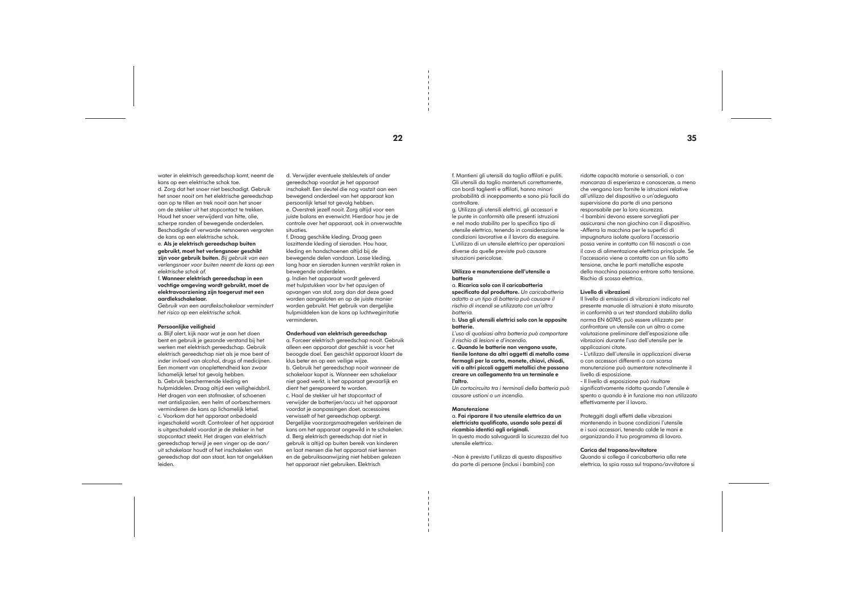water in elektrisch gereedschap komt, neemt de kans op een elektrische schok toe.

d. Zorg dat het snoer niet beschadigt. Gebruik het snoer nooit om het elektrische gereedschap aan op te tillen en trek nooit aan het snoer om de stekker uit het stopcontact te trekken. Houd het snoer verwijderd van hitte, olie, scherpe randen of bewegende onderdelen. Beschadigde of verwarde netsnoeren vergroten

#### de kans op een elektrische schok. e. Als je elektrisch gereedschap buiten gebruikt, moet het verlengsnoer geschikt zijn voor gebruik buiten. *Bij gebruik van een verlengsnoer voor buiten neemt de kans op een elektrische schok af.*

#### f. Wanneer elektrisch gereedschap in een vochtige omgeving wordt gebruikt, moet de elektravoorziening zijn toegerust met een aardlekschakelaar.

*Gebruik van een aardlekschakelaar vermindert het risico op een elektrische schok.*

#### Persoonlijke veiligheid

a. Blijf alert, kijk naar wat je aan het doen bent en gebruik je gezonde verstand bij het werken met elektrisch gereedschap. Gebruik elektrisch gereedschap niet als je moe bent of inder invloed van alcohol, drugs of medicijnen. Een moment van onoplettendheid kan zwaar lichamelijk letsel tot gevolg hebben. b. Gebruik beschermende kleding en hulpmiddelen. Draag altijd een veiligheidsbril. Het dragen van een stofmasker, of schoenen met antislipzolen, een helm of oorbeschermers verminderen de kans op lichamelijk letsel. c. Voorkom dat het apparaat onbedoeld ingeschakeld wordt. Controleer of het apparaat is uitgeschakeld voordat je de stekker in het stopcontact steekt. Het dragen van elektrisch gereedschap terwijl je een vinger op de aan/ uit schakelaar houdt of het inschakelen van gereedschap dat aan staat, kan tot ongelukken leiden.

d. Verwijder eventuele stelsleutels of ander gereedschap voordat je het apparaat inschakelt. Een sleutel die nog vastzit aan een bewegend onderdeel van het apparaat kan persoonlijk letsel tot gevolg hebben. e. Overstrek jezelf nooit. Zorg altijd voor een juiste balans en evenwicht. Hierdoor hou je de controle over het apparaat, ook in onverwachte situaties.

f. Draag geschikte kleding. Draag geen loszittende kleding of sieraden. Hou haar, kleding en handschoenen altijd bij de bewegende delen vandaan. Losse kleding, lang haar en sieraden kunnen verstrikt raken in bewegende onderdelen.

g. Indien het apparaat wordt geleverd met hulpstukken voor bv het opzuigen of opvangen van stof, zorg dan dat deze goed worden aangesloten en op de juiste manier worden gebruikt. Het gebruik van dergelijke hulpmiddelen kan de kans op luchtwegirritatie verminderen.

#### Onderhoud van elektrisch gereedschap

a. Forceer elektrisch gereedschap nooit. Gebruik alleen een apparaat dat geschikt is voor het beoogde doel. Een geschikt apparaat klaart de klus beter en op een veilige wijze. b. Gebruik het gereedschap nooit wanneer de schakelaar kapot is. Wanneer een schakelaar niet goed werkt, is het apparaat gevaarlijk en dient het gerepareerd te worden. c. Haal de stekker uit het stopcontact of verwijder de batterijen/accu uit het apparaat voordat je aanpassingen doet, accessoires verwisselt of het gereedschap opbergt. Dergelijke voorzorgsmaatregelen verkleinen de kans om het apparaat ongewild in te schakelen. d. Berg elektrisch gereedschap dat niet in gebruik is altijd op buiten bereik van kinderen en laat mensen die het apparaat niet kennen en de gebruiksaanwijzing niet hebben gelezen het apparaat niet gebruiken. Elektrisch

f. Mantieni gli utensili da taglio affilati e puliti. Gli utensili da taglio mantenuti correttamente, con bordi taglienti e affilati, hanno minori probabilità di inceppamento e sono più facili da controllare.

g. Utilizza gli utensili elettrici, gli accessori e le punte in conformità alle presenti istruzioni e nel modo stabilito per lo specifico tipo di utensile elettrico, tenendo in considerazione le condizioni lavorative e il lavoro da eseguire. L'utilizzo di un utensile elettrico per operazioni diverse da quelle previste può causare situazioni pericolose.

#### Utilizzo e manutenzione dell'utensile a batteria

a. Ricarica solo con il caricabatteria

specificato dal produttore. *Un caricabatteria adatto a un tipo di batteria può causare il rischio di incendi se utilizzato con un'altra batteria.*

b. Usa gli utensili elettrici solo con le apposite batterie.

*L'uso di qualsiasi altra batteria può comportare il rischio di lesioni e d'incendio.*

c. Quando le batterie non vengono usate, tienile lontane da altri oggetti di metallo come fermagli per la carta, monete, chiavi, chiodi, viti o altri piccoli oggetti metallici che possono creare un collegamento tra un terminale e l'altro.

*Un cortocircuito tra i terminali della batteria può causare ustioni o un incendio.*

#### **Manutenzione**

a. Fai riparare il tuo utensile elettrico da un elettricista qualificato, usando solo pezzi di ricambio identici agli originali. In questo modo salvaguardi la sicurezza del tuo utensile elettrico.

-Non è previsto l'utilizzo di questo dispositivo da parte di persone (inclusi i bambini) con

ridotte capacità motorie o sensoriali, o con mancanza di esperienza e conoscenze, a meno che vengano loro fornite le istruzioni relative all'utilizzo del dispositivo o un'adeguata supervisione da parte di una persona responsabile per la loro sicurezza. -I bambini devono essere sorvegliati per assicurarsi che non giochino con il dispositivo. -Afferra la macchina per le superfici di impugnatura isolate qualora l'accessorio possa venire in contatto con fili nascosti o con il cavo di alimentazione elettrica principale. Se l'accessorio viene a contatto con un filo sotto tensione, anche le parti metalliche esposte della macchina possono entrare sotto tensione. Rischio di scossa elettrica.

#### Livello di vibrazioni

Il livello di emissioni di vibrazioni indicato nel presente manuale di istruzioni è stato misurato in conformità a un test standard stabilito dalla norma EN 60745; può essere utilizzato per confrontare un utensile con un altro o come valutazione preliminare dell'esposizione alle vibrazioni durante l'uso dell'utensile per le applicazioni citate.

- L'utilizzo dell'utensile in applicazioni diverse o con accessori differenti o con scarsa manutenzione può aumentare notevolmente il livello di esposizione.

- Il livello di esposizione può risultare significativamente ridotto quando l'utensile è spento o quando è in funzione ma non utilizzato effettivamente per il lavoro.

Proteggiti dagli effetti delle vibrazioni mantenendo in buone condizioni l'utensile

e i suoi accessori, tenendo calde le mani e organizzando il tuo programma di lavoro.

Carica del trapano/avvitatore Quando si collega il caricabatteria alla rete elettrica, la spia rossa sul trapano/avvitatore si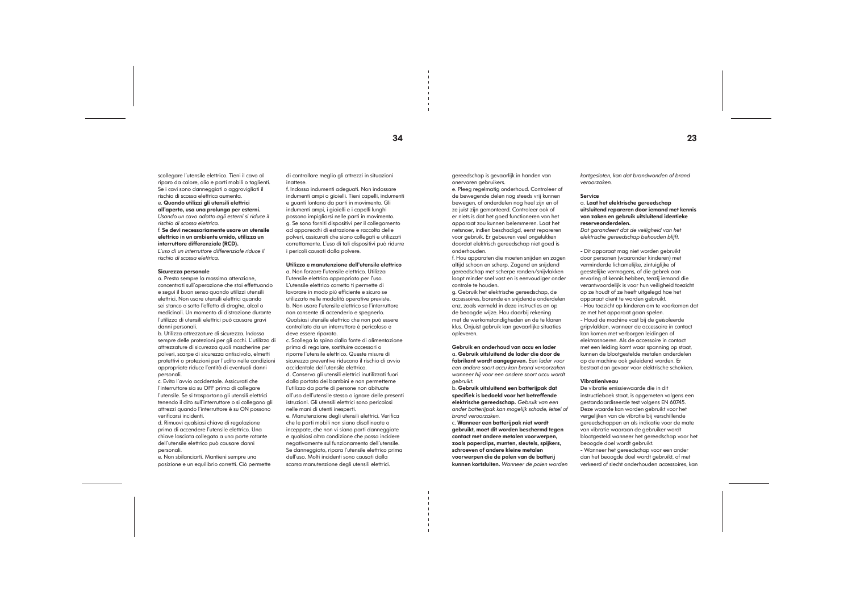scollegare l'utensile elettrico. Tieni il cavo al riparo da calore, olio e parti mobili o taglienti. Se i cavi sono danneggiati o aggrovigliati il rischio di scossa elettrica aumenta. e. Quando utilizzi gli utensili elettrici all'aperto, usa una prolunga per esterni. *Usando un cavo adatto agli esterni si riduce il* 

*rischio di scossa elettrica.*  f. Se devi necessariamente usare un utensile

elettrico in un ambiente umido, utilizza un interruttore differenziale (RCD).

*L'uso di un interruttore differenziale riduce il rischio di scossa elettrica.*

#### Sicurezza personale

a. Presta sempre la massima attenzione, concentrati sull'operazione che stai effettuando e segui il buon senso quando utilizzi utensili elettrici. Non usare utensili elettrici quando sei stanco o sotto l'effetto di droghe, alcol o medicinali. Un momento di distrazione durante l'utilizzo di utensili elettrici può causare gravi danni personali.

b. Utilizza attrezzature di sicurezza. Indossa sempre delle protezioni per gli occhi. L'utilizzo di attrezzature di sicurezza quali mascherine per polveri, scarpe di sicurezza antiscivolo, elmetti protettivi o protezioni per l'udito nelle condizioni appropriate riduce l'entità di eventuali danni personali.

c. Evita l'avvio accidentale. Assicurati che l'interruttore sia su OFF prima di collegare l'utensile. Se si trasportano gli utensili elettrici tenendo il dito sull'interruttore o si collegano gli attrezzi quando l'interruttore è su ON possono verificarsi incidenti.

d. Rimuovi qualsiasi chiave di regolazione prima di accendere l'utensile elettrico. Una chiave lasciata collegata a una parte rotante dell'utensile elettrico può causare danni personali.

e. Non sbilanciarti. Mantieni sempre una posizione e un equilibrio corretti. Ciò permette di controllare meglio gli attrezzi in situazioni inattese.

f. Indossa indumenti adeguati. Non indossare indumenti ampi o gioielli. Tieni capelli, indumenti e guanti lontano da parti in movimento. Gli indumenti ampi, i gioielli e i capelli lunghi possono impigliarsi nelle parti in movimento. g. Se sono forniti dispositivi per il collegamento ad apparecchi di estrazione e raccolta delle polveri, assicurati che siano collegati e utilizzati correttamente. L'uso di tali dispositivi può ridurre i pericoli causati dalla polvere.

#### Utilizzo e manutenzione dell'utensile elettrico

a. Non forzare l'utensile elettrico. Utilizza l'utensile elettrico appropriato per l'uso. L'utensile elettrico corretto ti permette di lavorare in modo più efficiente e sicuro se utilizzato nelle modalità operative previste. b. Non usare l'utensile elettrico se l'interruttore non consente di accenderlo e spegnerlo. Qualsiasi utensile elettrico che non può essere controllato da un interruttore è pericoloso e deve essere riparato.

c. Scollega la spina dalla fonte di alimentazione prima di regolare, sostituire accessori o riporre l'utensile elettrico. Queste misure di sicurezza preventive riducono il rischio di avvio accidentale dell'utensile elettrico. d. Conserva gli utensili elettrici inutilizzati fuori dalla portata dei bambini e non permetterne

l'utilizzo da parte di persone non abituate all'uso dell'utensile stesso o ignare delle presenti istruzioni. Gli utensili elettrici sono pericolosi nelle mani di utenti inesperti.

e. Manutenzione degli utensili elettrici. Verifica che le parti mobili non siano disallineate o inceppate, che non vi siano parti danneggiate e qualsiasi altra condizione che possa incidere negativamente sul funzionamento dell'utensile. Se danneggiato, ripara l'utensile elettrico prima dell'uso. Molti incidenti sono causati dalla scarsa manutenzione degli utensili elettrici.

gereedschap is gevaarlijk in handen van onervaren gebruikers.

e. Pleeg regelmatig onderhoud. Controleer of de bewegende delen nog steeds vrij kunnen bewegen, of onderdelen nog heel zijn en of ze juist zijn gemonteerd. Controleer ook of er niets is dat het goed functioneren van het apparaat zou kunnen belemmeren. Laat het netsnoer, indien beschadigd, eerst repareren voor gebruik. Er gebeuren veel ongelukken doordat elektrisch gereedschap niet goed is onderhouden.

f. Hou apparaten die moeten snijden en zagen altijd schoon en scherp. Zagend en snijdend gereedschap met scherpe randen/snijvlakken loopt minder snel vast en is eenvoudiger onder controle te houden.

g. Gebruik het elektrische gereedschap, de accessoires, borende en snijdende onderdelen enz. zoals vermeld in deze instructies en op de beoogde wijze. Hou daarbij rekening met de werkomstandigheden en de te klaren klus. Onjuist gebruik kan gevaarlijke situaties opleveren.

Gebruik en onderhoud van accu en lader a. Gebruik uitsluitend de lader die door de fabrikant wordt aangegeven. *Een lader voor een andere soort accu kan brand veroorzaken wanneer hij voor een andere soort accu wordt gebruikt.*

b. Gebruik uitsluitend een batterijpak dat specifiek is bedoeld voor het betreffende elektrische gereedschap. *Gebruik van een ander batterijpak kan mogelijk schade, letsel of brand veroorzaken.*

c. Wanneer een batterijpak niet wordt gebruikt, moet dit worden beschermd tegen contact met andere metalen voorwerpen, zoals paperclips, munten, sleutels, spijkers, schroeven of andere kleine metalen voorwerpen die de polen van de batterij kunnen kortsluiten. *Wanneer de polen worden*  *kortgesloten, kan dat brandwonden of brand veroorzaken.*

#### Service

a. Laat het elektrische gereedschap uitsluitend repareren door iemand met kennis van zaken en gebruik uitsluitend identieke reserveonderdelen.

*Dat garandeert dat de veiligheid van het elektrische gereedschap behouden blijft.*

- Dit apparaat mag niet worden gebruikt door personen (waaronder kinderen) met verminderde lichamelijke, zintuiglijke of geestelijke vermogens, of die gebrek aan ervaring of kennis hebben, tenzij iemand die verantwoordelijk is voor hun veiligheid toezicht op ze houdt of ze heeft uitgelegd hoe het apparaat dient te worden gebruikt. - Hou toezicht op kinderen om te voorkomen dat ze met het apparaat gaan spelen. - Houd de machine vast bij de geïsoleerde gripvlakken, wanneer de accessoire in contact kan komen met verborgen leidingen of elektrasnoeren. Als de accessoire in contact met een leiding komt waar spanning op staat, kunnen de blootgestelde metalen onderdelen op de machine ook geleidend worden. Er bestaat dan gevaar voor elektrische schokken. Vibratieniveau De vibratie emissiewaarde die in dit

instructieboek staat, is opgemeten volgens een gestandaardiseerde test volgens EN 60745. Deze waarde kan worden gebruikt voor het vergelijken van de vibratie bij verschillende gereedschappen en als indicatie voor de mate van vibratie waaraan de gebruiker wordt blootgesteld wanneer het gereedschap voor het beoogde doel wordt gebruikt. - Wanneer het gereedschap voor een ander dan het beoogde doel wordt gebruikt, of met verkeerd of slecht onderhouden accessoires, kan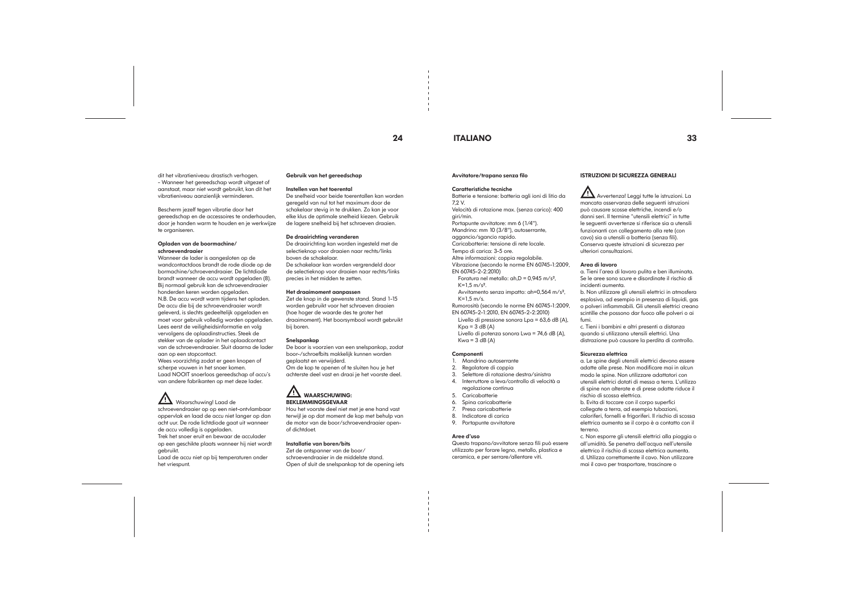## 24 ITALIANO 33

dit het vibratieniveau drastisch verhogen. - Wanneer het gereedschap wordt uitgezet of aanstaat, maar niet wordt gebruikt, kan dit het vibratieniveau aanzienlijk verminderen.

Bescherm jezelf tegen vibratie door het gereedschap en de accessoires te onderhouden, door je handen warm te houden en je werkwijze te organiseren.

#### Opladen van de boormachine/ schroevendraaier

Wanneer de lader is aangesloten op de wandcontactdoos brandt de rode diode op de bormachine/schroevendraaier. De lichtdiode brandt wanneer de accu wordt opgeladen (8). Bij normaal gebruik kan de schroevendraaier honderden keren worden opgeladen. N.B. De accu wordt warm tijdens het opladen. De accu die bij de schroevendraaier wordt geleverd, is slechts gedeeltelijk opgeladen en moet voor gebruik volledig worden opgeladen. Lees eerst de veiligheidsinformatie en volg vervolgens de oplaadinstructies. Steek de stekker van de oplader in het oplaadcontact van de schroevendraaier. Sluit daarna de lader aan op een stopcontact. Wees voorzichtig zodat er geen knopen of scherpe vouwen in het snoer komen. Laad NOOIT snoerloos gereedschap of accu's van andere fabrikanten op met deze lader.

## Waarschuwing! Laad de

#### **11** WAARSCHUWING: BEKLEMMINGSGEVAAR

schroevendraaier op op een niet-ontvlambaar oppervlak en laad de accu niet langer op dan acht uur. De rode lichtdiode gaat uit wanneer de accu volledig is opgeladen. Trek het snoer eruit en bewaar de acculader op een geschikte plaats wanneer hij niet wordt gebruikt. Laad de accu niet op bij temperaturen onder

het vriespunt.

#### Gebruik van het gereedschap

#### Instellen van het toerental

Foratura nel metallo:  $ah.D = 0.945 m/s<sup>2</sup>$ . K=1,5 m/s².

De snelheid voor beide toerentallen kan worden geregeld van nul tot het maximum door de schakelaar stevig in te drukken. Zo kan je voor elke klus de optimale snelheid kiezen. Gebruik de lagere snelheid bij het schroeven draaien.

> EN 60745-2-1:2010, EN 60745-2-2:2010) Livello di pressione sonora Lpa =  $63.6$  dB (A),

 $Kpa = 3 dB (A)$ 

Livello di potenza sonora Lwa = 74,6 dB (A),  $Kwa = 3 dB (A)$ 

#### De draairichting veranderen

De draairichting kan worden ingesteld met de selectieknop voor draaien naar rechts/links boven de schakelaar.

De schakelaar kan worden vergrendeld door de selectieknop voor draaien naar rechts/links precies in het midden te zetten.

#### Het draaimoment aanpassen

Zet de knop in de gewenste stand. Stand 1-15 worden gebruikt voor het schroeven draaien (hoe hoger de waarde des te groter het draaimoment). Het boorsymbool wordt gebruikt bij boren.

#### Snelspankop

De boor is voorzien van een snelspankop, zodat boor-/schroefbits makkelijk kunnen worden geplaatst en verwijderd. Om de kop te openen of te sluiten hou je het

achterste deel vast en draai je het voorste deel.

Hou het voorste deel niet met je ene hand vast terwijl je op dat moment de kop met behulp van de motor van de boor/schroevendraaier openof dichtdoet.

#### Installatie van boren/bits

Zet de ontspanner van de boor/ schroevendraaier in de middelste stand. Open of sluit de snelspankop tot de opening iets

#### Avvitatore/trapano senza filo

#### Caratteristiche tecniche

Batterie e tensione: batteria agli ioni di litio da 7,2 V.

Velocità di rotazione max. (senza carico): 400 giri/min.

Portapunte avvitatore: mm 6 (1/4").

Mandrino: mm 10 (3/8"), autoserrante,

aggancio/sgancio rapido.

Caricabatterie: tensione di rete locale.

Tempo di carica: 3-5 ore.

Altre informazioni: coppia regolabile. Vibrazione (secondo le norme EN 60745-1:2009,

EN 60745-2-2:2010)

Avvitamento senza impatto: ah=0,564 m/s²,

K=1,5 m/s. Rumorosità (secondo le norme EN 60745-1:2009,

#### Componenti

1. Mandrino autoserrante

- 2. Regolatore di coppia
- 3. Selettore di rotazione destra/sinistra
- 4. Interruttore a leva/controllo di velocità a
- regolazione continua
- 5. Caricabatterie
- 6. Spina caricabatterie
- 7. Presa caricabatterie
- 8. Indicatore di carica
- 9. Portapunte avvitatore

#### Aree d'uso

Questo trapano/avvitatore senza fili può essere utilizzato per forare legno, metallo, plastica e ceramica, e per serrare/allentare viti.

## Avvertenza! Leggi tutte le istruzioni. La

### ISTRUZIONI DI SICUREZZA GENERALI

#### mancata osservanza delle seguenti istruzioni può causare scosse elettriche, incendi e/o danni seri. Il termine "utensili elettrici" in tutte le seguenti avvertenze si riferisce sia a utensili funzionanti con collegamento alla rete (con cavo) sia a utensili a batteria (senza fili). Conserva queste istruzioni di sicurezza per

ulteriori consultazioni.

#### Area di lavoro

a. Tieni l'area di lavoro pulita e ben illuminata. Se le aree sono scure e disordinate il rischio di incidenti aumenta. b. Non utilizzare gli utensili elettrici in atmosfera esplosiva, ad esempio in presenza di liquidi, gas o polveri infiammabili. Gli utensili elettrici creano scintille che possono dar fuoco alle polveri o ai

fumi. c. Tieni i bambini e altri presenti a distanza quando si utilizzano utensili elettrici. Una distrazione può causare la perdita di controllo.

#### Sicurezza elettrica

a. Le spine degli utensili elettrici devono essere adatte alle prese. Non modificare mai in alcun modo le spine. Non utilizzare adattatori con utensili elettrici dotati di messa a terra. L'utilizzo di spine non alterate e di prese adatte riduce il rischio di scossa elettrica. b. Evita di toccare con il corpo superfici

collegate a terra, ad esempio tubazioni, caloriferi, fornelli e frigoriferi. Il rischio di scossa elettrica aumenta se il corpo è a contatto con il terreno. c. Non esporre gli utensili elettrici alla pioggia o

all'umidità. Se penetra dell'acqua nell'utensile elettrico il rischio di scossa elettrica aumenta. d. Utilizza correttamente il cavo. Non utilizzare mai il cavo per trasportare, trascinare o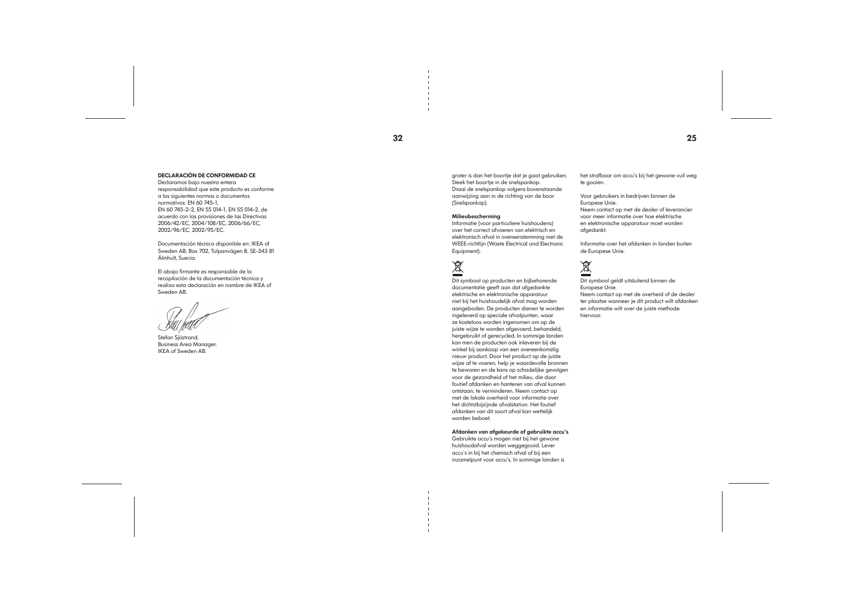#### DECLARACIÓN DE CONFORMIDAD CE

Declaramos bajo nuestra entera responsabilidad que este producto es conforme a las siguientes normas o documentos normativos: EN 60 745-1, EN 60 745-2-2, EN 55 014-1, EN 55 014-2, de acuerdo con las provisiones de las Directivas 2006/42/EC, 2004/108/EC, 2006/66/EC, 2002/96/EC, 2002/95/EC.

Documentación técnica disponible en: IKEA of Sweden AB, Box 702, Tulpanvägen 8, SE-343 81 Älmhult, Suecia.

El abajo firmante es responsable de la recopilación de la documentación técnica y realiza esta declaración en nombre de IKEA of Sweden AB.

Stefan Sjöstrand. Business Area Manager. IKEA of Sweden AB.

groter is dan het boortje dat je gaat gebruiken. Steek het boortje in de snelspankop. Draai de snelspankop volgens bovenstaande aanwijzing aan in de richting van de boor (Snelspankop).

#### Milieubescherming

Informatie (voor particuliere huishoudens) over het correct afvoeren van elektrisch en elektronisch afval in overeenstemming met de WEEE-richtlijn (Waste Electrical and Electronic Equipment).

# 凰

Dit symbool op producten en bijbehorende documentatie geeft aan dat afgedankte elektrische en elektronische apparatuur niet bij het huishoudelijk afval mag worden aangeboden. De producten dienen te worden ingeleverd op speciale afvalpunten, waar ze kosteloos worden ingenomen om op de juiste wijze te worden afgevoerd, behandeld, hergebruikt of gerecycled. In sommige landen kan men de producten ook inleveren bij de winkel bij aankoop van een overeenkomstig nieuw product. Door het product op de juiste wijze af te voeren, help je waardevolle bronnen te bewaren en de kans op schadelijke gevolgen voor de gezondheid of het milieu, die door foutief afdanken en hanteren van afval kunnen ontstaan, te verminderen. Neem contact op met de lokale overheid voor informatie over het dichtstbijzijnde afvalstation. Het foutief afdanken van dit soort afval kan wettelijk worden beboet.

Afdanken van afgekeurde of gebruikte accu's Gebruikte accu's mogen niet bij het gewone huishoudafval worden weggegooid. Lever accu's in bij het chemisch afval of bij een inzamelpunt voor accu's. In sommige landen is

het strafbaar om accu's bij het gewone vuil weg te gooien.

Voor gebruikers in bedrijven binnen de Europese Unie. Neem contact op met de dealer of leverancier voor meer informatie over hoe elektrische en elektronische apparatuur moet worden afgedankt.

Informatie over het afdanken in landen buiten de Europese Unie.

# $\tilde{\mathbb{X}}$

Dit symbool geldt uitsluitend binnen de Europese Unie. Neem contact op met de overheid of de dealer ter plaatse wanneer je dit product wilt afdanken en informatie wilt over de juiste methode hiervoor.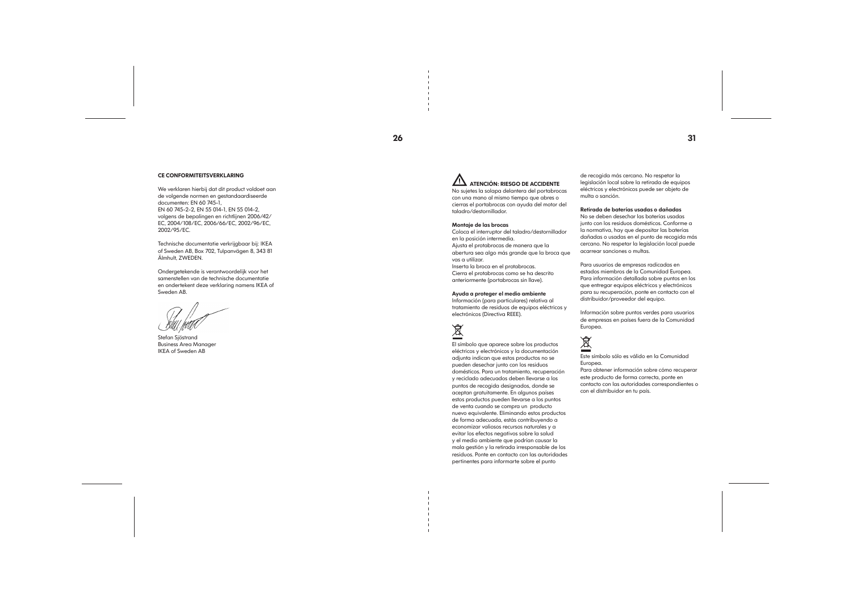#### CE CONFORMITEITSVERKLARING

We verklaren hierbij dat dit product voldoet aan de volgende normen en gestandaardiseerde documenten: EN 60 745-1, EN 60 745-2-2, EN 55 014-1, EN 55 014-2, volgens de bepalingen en richtlijnen 2006/42/ EC, 2004/108/EC, 2006/66/EC, 2002/96/EC, 2002/95/EC.

## ATENCIÓN: RIESGO DE ACCIDENTE No sujetes la solapa delantera del portabrocas

Technische documentatie verkrijgbaar bij: IKEA of Sweden AB, Box 702, Tulpanvägen 8, 343 81 Älmhult, ZWEDEN.

Ondergetekende is verantwoordelijk voor het samenstellen van de technische documentatie en ondertekent deze verklaring namens IKEA of Sweden AB.

Stefan Sjöstrand Business Area Manager IKEA of Sweden AB

 $26$  31

con una mano al mismo tiempo que abres o cierras el portabrocas con ayuda del motor del taladro/destornillador.

#### Montaje de las brocas

Coloca el interruptor del taladro/destornillador en la posición intermedia. Ajusta el protabrocas de manera que la abertura sea algo más grande que la broca que

vas a utilizar. Inserta la broca en el protabrocas.

Cierra el protabrocas como se ha descrito anteriormente (portabrocas sin llave).

#### Ayuda a proteger el medio ambiente

Información (para particulares) relativa al tratamiento de residuos de equipos eléctricos y electrónicos (Directiva REEE).

# 凤

El símbolo que aparece sobre los productos eléctricos y electrónicos y la documentación adjunta indican que estos productos no se pueden desechar junto con los residuos domésticos. Para un tratamiento, recuperación y reciclado adecuados deben llevarse a los puntos de recogida designados, donde se aceptan gratuitamente. En algunos países estos productos pueden llevarse a los puntos de venta cuando se compra un producto nuevo equivalente. Eliminando estos productos de forma adecuada, estás contribuyendo a economizar valiosos recursos naturales y a evitar los efectos negativos sobre la salud y el medio ambiente que podrían causar la mala gestión y la retirada irresponsable de los residuos. Ponte en contacto con las autoridades pertinentes para informarte sobre el punto

de recogida más cercano. No respetar la legislación local sobre la retirada de equipos eléctricos y electrónicos puede ser objeto de multa o sanción.

#### Retirada de baterías usadas o dañadas

No se deben desechar las baterías usadas junto con los residuos domésticos. Conforme a la normativa, hay que depositar las baterías dañadas o usadas en el punto de recogida más cercano. No respetar la legislación local puede acarrear sanciones o multas.

Para usuarios de empresas radicadas en estados miembros de la Comunidad Europea. Para información detallada sobre puntos en los que entregar equipos eléctricos y electrónicos para su recuperación, ponte en contacto con el distribuidor/proveedor del equipo.

Información sobre puntos verdes para usuarios de empresas en países fuera de la Comunidad Europea.

# 凤

Este símbolo sólo es válido en la Comunidad Europea. Para obtener información sobre cómo recuperar este producto de forma correcta, ponte en contacto con las autoridades correspondientes o

con el distribuidor en tu país.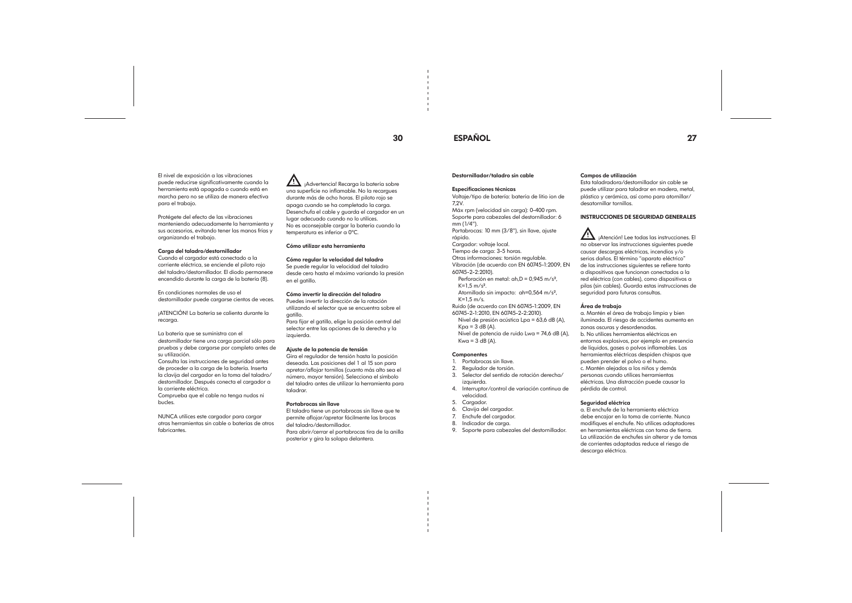## 30 ESPAÑOL 27

El nivel de exposición a las vibraciones puede reducirse significativamente cuando la herramienta está apagada o cuando está en marcha pero no se utiliza de manera efectiva para el trabajo.

Protégete del efecto de las vibraciones manteniendo adecuadamente la herramienta y sus accesorios, evitando tener las manos frías y organizando el trabajo.

#### Carga del taladro/destornillador

Cuando el cargador está conectado a la corriente eléctrica, se enciende el piloto rojo del taladro/destornillador. El diodo permanece encendido durante la carga de la batería (8).

En condiciones normales de uso el destornillador puede cargarse cientos de veces.

¡ATENCIÓN! La batería se calienta durante la recarga.

<sup>11</sup>/<sub>i</sub>Advertencia! Recarga la batería sobre una superficie no inflamable. No la recargues durante más de ocho horas. El piloto rojo se apaga cuando se ha completado la carga. Desenchufa el cable y guarda el cargador en un lugar adecuado cuando no lo utilices. No es aconsejable cargar la batería cuando la temperatura es inferior a 0ºC.

La batería que se suministra con el destornillador tiene una carga parcial sólo para pruebas y debe cargarse por completo antes de su utilización.

Consulta las instrucciones de seguridad antes de proceder a la carga de la batería. Inserta la clavija del cargador en la toma del taladro/ destornillador. Después conecta el cargador a la corriente eléctrica. Comprueba que el cable no tenga nudos ni

bucles.

NUNCA utilices este cargador para cargar otras herramientas sin cable o baterías de otros fabricantes.

- Nivel de presión acústica Lpa = 63,6 dB (A),  $Kpa = 3 dB (A)$ .
- Nivel de potencia de ruido Lwa = 74,6 dB (A),  $Kwa = 3 dB (A)$ .

#### **Componentes**

#### Cómo utilizar esta herramienta

#### Cómo regular la velocidad del taladro

Se puede regular la velocidad del taladro desde cero hasta el máximo variando la presión en el gatillo.

#### Cómo invertir la dirección del taladro

Puedes invertir la dirección de la rotación utilizando el selector que se encuentra sobre el gatillo.

Para fijar el gatillo, elige la posición central del selector entre las opciones de la derecha y la izquierda.

#### Ajuste de la potencia de tensión

Gira el regulador de tensión hasta la posición deseada. Las posiciones del 1 al 15 son para apretar/aflojar tornillos (cuanto más alto sea el número, mayor tensión). Selecciona el símbolo del taladro antes de utilizar la herramienta para taladrar.

#### Portabrocas sin llave

El taladro tiene un portabrocas sin llave que te permite aflojar/apretar fácilmente las brocas del taladro/destornillador. Para abrir/cerrar el portabrocas tira de la anilla posterior y gira la solapa delantera.

#### Destornillador/taladro sin cable

#### Especificaciones técnicas

Voltaje/tipo de batería: batería de litio ion de

7,2V.

Máx rpm (velocidad sin carga): 0-400 rpm. Soporte para cabezales del destornillador: 6 mm (1/4").

Portabrocas: 10 mm (3/8"), sin llave, ajuste rápido.

Cargador: voltaje local.

Tiempo de carga: 3-5 horas.

Otras informaciones: torsión regulable. Vibración (de acuerdo con EN 60745-1:2009, EN

60745-2-2:2010). Perforación en metal: ah,D = 0,945 m/s²,

 $K=1.5$  m/s<sup>2</sup>.

Atornillado sin impacto: ah=0,564 m/s²,

K=1,5 m/s. Ruido (de acuerdo con EN 60745-1:2009, EN

60745-2-1:2010, EN 60745-2-2:2010).

- 1. Portabrocas sin llave.
- 2. Regulador de torsión.
- 3. Selector del sentido de rotación derecha/ izquierda.
- 4. Interruptor/control de variación continua de velocidad.
- 5. Cargador.
- 6. Clavija del cargador.
- 7. Enchufe del cargador.
- 8. Indicador de carga.
- 9. Soporte para cabezales del destornillador.

Campos de utilización

Esta taladradora/destornillador sin cable se puede utilizar para taladrar en madera, metal, plástico y cerámica, así como para atornillar/

desatornillar tornillos.

#### INSTRUCCIONES DE SEGURIDAD GENERALES

 ¡Atención! Lee todas las instrucciones. El no observar las instrucciones siguientes puede causar descargas eléctricas, incendios y/o serios daños. El término "aparato eléctrico" de las instrucciones siguientes se refiere tanto

a dispositivos que funcionan conectados a la red eléctrica (con cables), como dispositivos a pilas (sin cables). Guarda estas instrucciones de seguridad para futuras consultas.

#### Área de trabajo

a. Mantén el área de trabajo limpia y bien iluminada. El riesgo de accidentes aumenta en zonas oscuras y desordenadas. b. No utilices herramientas eléctricas en entornos explosivos, por ejemplo en presencia de líquidos, gases o polvos inflamables. Las herramientas eléctricas despiden chispas que pueden prender el polvo o el humo. c. Mantén alejados a los niños y demás personas cuando utilices herramientas eléctricas. Una distracción puede causar la pérdida de control.

#### Seguridad eléctrica

a. El enchufe de la herramienta eléctrica debe encajar en la toma de corriente. Nunca modifiques el enchufe. No utilices adaptadores en herramientas eléctricas con toma de tierra. La utilización de enchufes sin alterar y de tomas de corrientes adaptadas reduce el riesgo de descarga eléctrica.